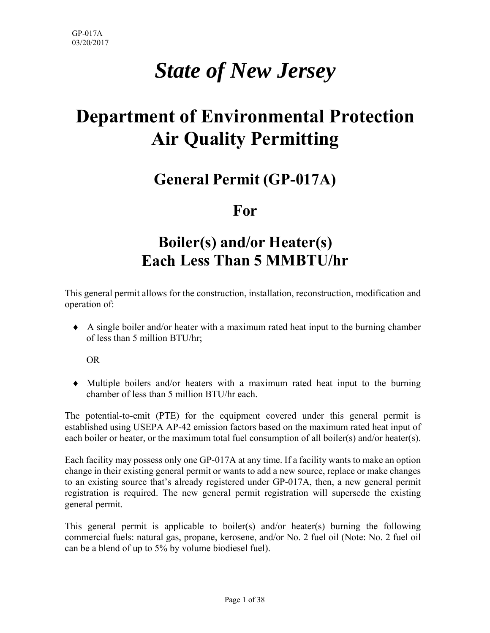# *State of New Jersey*

# **Department of Environmental Protection Air Quality Permitting**

# **General Permit (GP-017A)**

## **For**

# **Boiler(s) and/or Heater(s) Each Less Than 5 MMBTU/hr**

This general permit allows for the construction, installation, reconstruction, modification and operation of:

 A single boiler and/or heater with a maximum rated heat input to the burning chamber of less than 5 million BTU/hr;

OR

 Multiple boilers and/or heaters with a maximum rated heat input to the burning chamber of less than 5 million BTU/hr each.

The potential-to-emit (PTE) for the equipment covered under this general permit is established using USEPA AP-42 emission factors based on the maximum rated heat input of each boiler or heater, or the maximum total fuel consumption of all boiler(s) and/or heater(s).

Each facility may possess only one GP-017A at any time. If a facility wants to make an option change in their existing general permit or wants to add a new source, replace or make changes to an existing source that's already registered under GP-017A, then, a new general permit registration is required. The new general permit registration will supersede the existing general permit.

This general permit is applicable to boiler(s) and/or heater(s) burning the following commercial fuels: natural gas, propane, kerosene, and/or No. 2 fuel oil (Note: No. 2 fuel oil can be a blend of up to 5% by volume biodiesel fuel).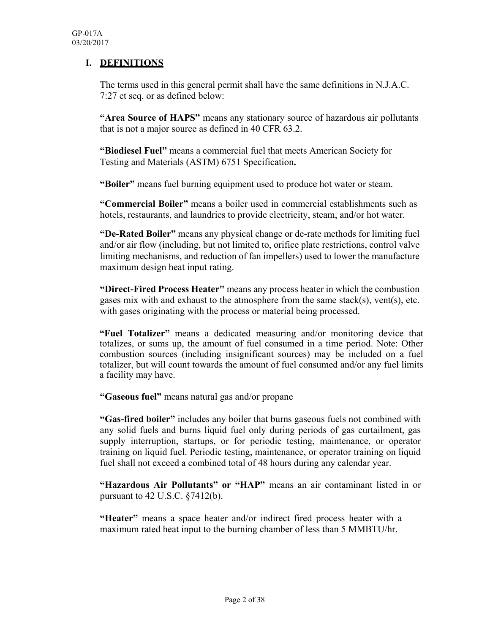#### **I. DEFINITIONS**

The terms used in this general permit shall have the same definitions in N.J.A.C. 7:27 et seq. or as defined below:

**"Area Source of HAPS"** means any stationary source of hazardous air pollutants that is not a major source as defined in 40 CFR 63.2.

**"Biodiesel Fuel"** means a commercial fuel that meets American Society for Testing and Materials (ASTM) 6751 Specification**.**

**"Boiler"** means fuel burning equipment used to produce hot water or steam.

**"Commercial Boiler"** means a boiler used in commercial establishments such as hotels, restaurants, and laundries to provide electricity, steam, and/or hot water.

**"De-Rated Boiler"** means any physical change or de-rate methods for limiting fuel and/or air flow (including, but not limited to, orifice plate restrictions, control valve limiting mechanisms, and reduction of fan impellers) used to lower the manufacture maximum design heat input rating.

**"Direct-Fired Process Heater"** means any process heater in which the combustion gases mix with and exhaust to the atmosphere from the same stack(s), vent(s), etc. with gases originating with the process or material being processed.

**"Fuel Totalizer"** means a dedicated measuring and/or monitoring device that totalizes, or sums up, the amount of fuel consumed in a time period. Note: Other combustion sources (including insignificant sources) may be included on a fuel totalizer, but will count towards the amount of fuel consumed and/or any fuel limits a facility may have.

**"Gaseous fuel"** means natural gas and/or propane

**"Gas-fired boiler"** includes any boiler that burns gaseous fuels not combined with any solid fuels and burns liquid fuel only during periods of gas curtailment, gas supply interruption, startups, or for periodic testing, maintenance, or operator training on liquid fuel. Periodic testing, maintenance, or operator training on liquid fuel shall not exceed a combined total of 48 hours during any calendar year.

**"Hazardous Air Pollutants" or "HAP"** means an air contaminant listed in or pursuant to 42 U.S.C. §7412(b).

**"Heater"** means a space heater and/or indirect fired process heater with a maximum rated heat input to the burning chamber of less than 5 MMBTU/hr.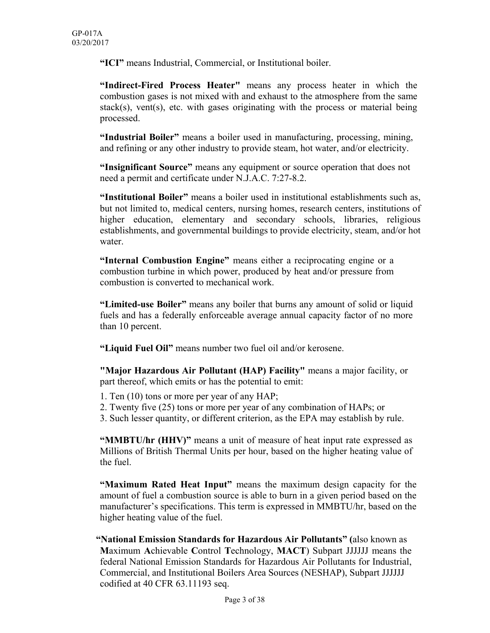**"ICI"** means Industrial, Commercial, or Institutional boiler.

**"Indirect-Fired Process Heater"** means any process heater in which the combustion gases is not mixed with and exhaust to the atmosphere from the same stack(s), vent(s), etc. with gases originating with the process or material being processed.

**"Industrial Boiler"** means a boiler used in manufacturing, processing, mining, and refining or any other industry to provide steam, hot water, and/or electricity.

**"Insignificant Source"** means any equipment or source operation that does not need a permit and certificate under N.J.A.C. 7:27-8.2.

**"Institutional Boiler"** means a boiler used in institutional establishments such as, but not limited to, medical centers, nursing homes, research centers, institutions of higher education, elementary and secondary schools, libraries, religious establishments, and governmental buildings to provide electricity, steam, and/or hot water.

**"Internal Combustion Engine"** means either a reciprocating engine or a combustion turbine in which power, produced by heat and/or pressure from combustion is converted to mechanical work.

**"Limited-use Boiler"** means any boiler that burns any amount of solid or liquid fuels and has a federally enforceable average annual capacity factor of no more than 10 percent.

**"Liquid Fuel Oil"** means number two fuel oil and/or kerosene.

**"Major Hazardous Air Pollutant (HAP) Facility"** means a major facility, or part thereof, which emits or has the potential to emit:

- 1. Ten (10) tons or more per year of any HAP;
- 2. Twenty five (25) tons or more per year of any combination of HAPs; or
- 3. Such lesser quantity, or different criterion, as the EPA may establish by rule.

**"MMBTU/hr (HHV)"** means a unit of measure of heat input rate expressed as Millions of British Thermal Units per hour, based on the higher heating value of the fuel.

**"Maximum Rated Heat Input"** means the maximum design capacity for the amount of fuel a combustion source is able to burn in a given period based on the manufacturer's specifications. This term is expressed in MMBTU/hr, based on the higher heating value of the fuel.

**"National Emission Standards for Hazardous Air Pollutants" (**also known as **M**aximum **A**chievable **C**ontrol **T**echnology, **MACT**) Subpart JJJJJJ means the federal National Emission Standards for Hazardous Air Pollutants for Industrial, Commercial, and Institutional Boilers Area Sources (NESHAP), Subpart JJJJJJ codified at 40 CFR 63.11193 seq.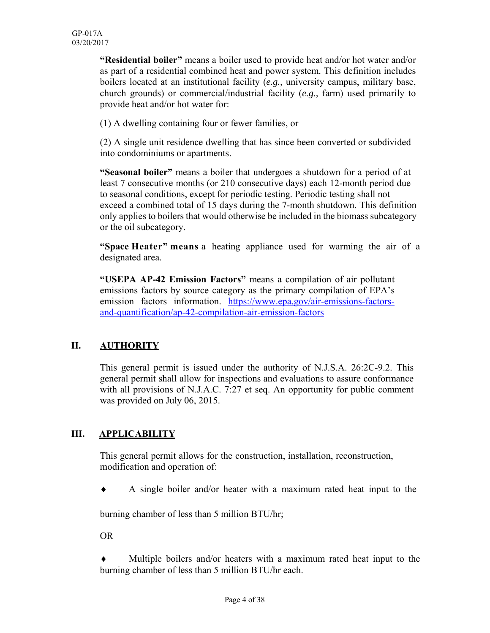**"Residential boiler"** means a boiler used to provide heat and/or hot water and/or as part of a residential combined heat and power system. This definition includes boilers located at an institutional facility (*e.g.,* university campus, military base, church grounds) or commercial/industrial facility (*e.g.,* farm) used primarily to provide heat and/or hot water for:

(1) A dwelling containing four or fewer families, or

(2) A single unit residence dwelling that has since been converted or subdivided into condominiums or apartments.

**"Seasonal boiler"** means a boiler that undergoes a shutdown for a period of at least 7 consecutive months (or 210 consecutive days) each 12-month period due to seasonal conditions, except for periodic testing. Periodic testing shall not exceed a combined total of 15 days during the 7-month shutdown. This definition only applies to boilers that would otherwise be included in the biomass subcategory or the oil subcategory.

**"Space Heater" means** a heating appliance used for warming the air of a designated area.

**"USEPA AP-42 Emission Factors"** means a compilation of air pollutant emissions factors by source category as the primary compilation of EPA's emission factors information. https://www.epa.gov/air-emissions-factorsand-quantification/ap-42-compilation-air-emission-factors

## **II. AUTHORITY**

This general permit is issued under the authority of N.J.S.A. 26:2C-9.2. This general permit shall allow for inspections and evaluations to assure conformance with all provisions of N.J.A.C. 7:27 et seq. An opportunity for public comment was provided on July 06, 2015.

#### **III. APPLICABILITY**

This general permit allows for the construction, installation, reconstruction, modification and operation of:

A single boiler and/or heater with a maximum rated heat input to the

burning chamber of less than 5 million BTU/hr;

OR

 Multiple boilers and/or heaters with a maximum rated heat input to the burning chamber of less than 5 million BTU/hr each.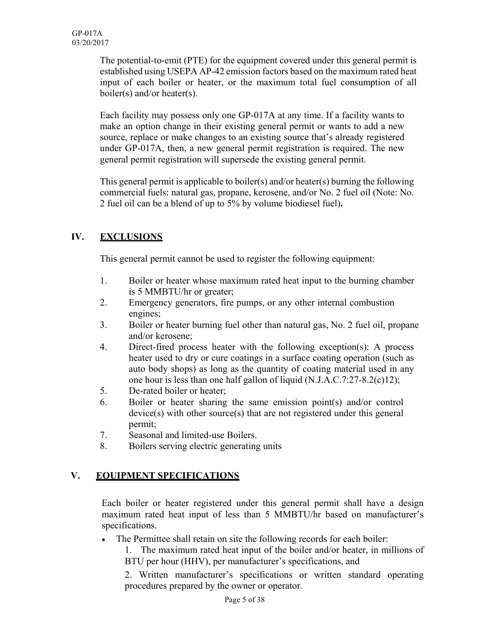The potential-to-emit (PTE) for the equipment covered under this general permit is established using USEPA AP-42 emission factors based on the maximum rated heat input of each boiler or heater, or the maximum total fuel consumption of all boiler(s) and/or heater(s).

Each facility may possess only one GP-017A at any time. If a facility wants to make an option change in their existing general permit or wants to add a new source, replace or make changes to an existing source that's already registered under GP-017A, then, a new general permit registration is required. The new general permit registration will supersede the existing general permit.

This general permit is applicable to boiler(s) and/or heater(s) burning the following commercial fuels: natural gas, propane, kerosene, and/or No. 2 fuel oil (Note: No. 2 fuel oil can be a blend of up to 5% by volume biodiesel fuel)**.**

## **IV. EXCLUSIONS**

This general permit cannot be used to register the following equipment:

- 1. Boiler or heater whose maximum rated heat input to the burning chamber is 5 MMBTU/hr or greater;
- 2. Emergency generators, fire pumps, or any other internal combustion engines;
- 3. Boiler or heater burning fuel other than natural gas, No. 2 fuel oil, propane and/or kerosene;
- 4. Direct-fired process heater with the following exception(s): A process heater used to dry or cure coatings in a surface coating operation (such as auto body shops) as long as the quantity of coating material used in any one hour is less than one half gallon of liquid (N.J.A.C.7:27-8.2(c)12);
- 5. De-rated boiler or heater;
- 6. Boiler or heater sharing the same emission point(s) and/or control device(s) with other source(s) that are not registered under this general permit;
- 7. Seasonal and limited-use Boilers.
- 8. Boilers serving electric generating units

## **V. EQUIPMENT SPECIFICATIONS**

Each boiler or heater registered under this general permit shall have a design maximum rated heat input of less than 5 MMBTU/hr based on manufacturer's specifications.

The Permittee shall retain on site the following records for each boiler:

1. The maximum rated heat input of the boiler and/or heater, in millions of BTU per hour (HHV), per manufacturer's specifications, and

2. Written manufacturer's specifications or written standard operating procedures prepared by the owner or operator.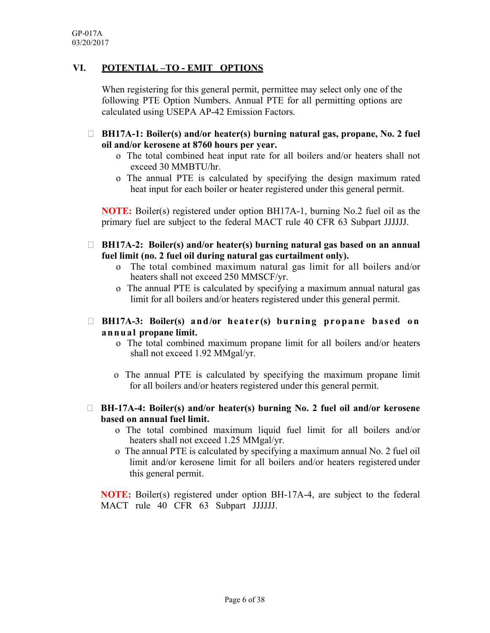#### **VI. POTENTIAL –TO - EMIT OPTIONS**

When registering for this general permit, permittee may select only one of the following PTE Option Numbers. Annual PTE for all permitting options are calculated using USEPA AP-42 Emission Factors.

- **BH17A-1: Boiler(s) and/or heater(s) burning natural gas, propane, No. 2 fuel oil and/or kerosene at 8760 hours per year.**
	- o The total combined heat input rate for all boilers and/or heaters shall not exceed 30 MMBTU/hr.
	- o The annual PTE is calculated by specifying the design maximum rated heat input for each boiler or heater registered under this general permit.

**NOTE:** Boiler(s) registered under option BH17A-1, burning No.2 fuel oil as the primary fuel are subject to the federal MACT rule 40 CFR 63 Subpart JJJJJJ.

- **BH17A-2: Boiler(s) and/or heater(s) burning natural gas based on an annual fuel limit (no. 2 fuel oil during natural gas curtailment only).**
	- o The total combined maximum natural gas limit for all boilers and/or heaters shall not exceed 250 MMSCF/yr.
	- o The annual PTE is calculated by specifying a maximum annual natural gas limit for all boilers and/or heaters registered under this general permit.
- **BH17A-3: Boiler(s) and/or heater(s) burning propane based on annual propane limit.**
	- o The total combined maximum propane limit for all boilers and/or heaters shall not exceed 1.92 MMgal/yr.
	- o The annual PTE is calculated by specifying the maximum propane limit for all boilers and/or heaters registered under this general permit.
- **BH-17A-4: Boiler(s) and/or heater(s) burning No. 2 fuel oil and/or kerosene based on annual fuel limit.**
	- o The total combined maximum liquid fuel limit for all boilers and/or heaters shall not exceed 1.25 MMgal/yr.
	- o The annual PTE is calculated by specifying a maximum annual No. 2 fuel oil limit and/or kerosene limit for all boilers and/or heaters registered under this general permit.

**NOTE:** Boiler(s) registered under option BH-17A-4, are subject to the federal MACT rule 40 CFR 63 Subpart JJJJJJ.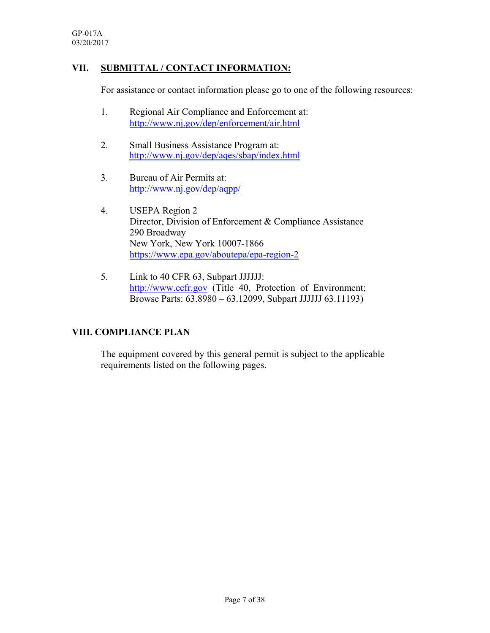#### **VII. SUBMITTAL / CONTACT INFORMATION:**

For assistance or contact information please go to one of the following resources:

- 1. Regional Air Compliance and Enforcement at: http://www.nj.gov/dep/enforcement/air.html
- 2. Small Business Assistance Program at: http://www.nj.gov/dep/aqes/sbap/index.html
- 3. Bureau of Air Permits at: http://www.nj.gov/dep/aqpp/
- 4. USEPA Region 2 Director, Division of Enforcement & Compliance Assistance 290 Broadway New York, New York 10007-1866 https://www.epa.gov/aboutepa/epa-region-2
- 5. Link to 40 CFR 63, Subpart JJJJJJ: http://www.ecfr.gov (Title 40, Protection of Environment; Browse Parts: 63.8980 – 63.12099, Subpart JJJJJJ 63.11193)

## **VIII. COMPLIANCE PLAN**

The equipment covered by this general permit is subject to the applicable requirements listed on the following pages.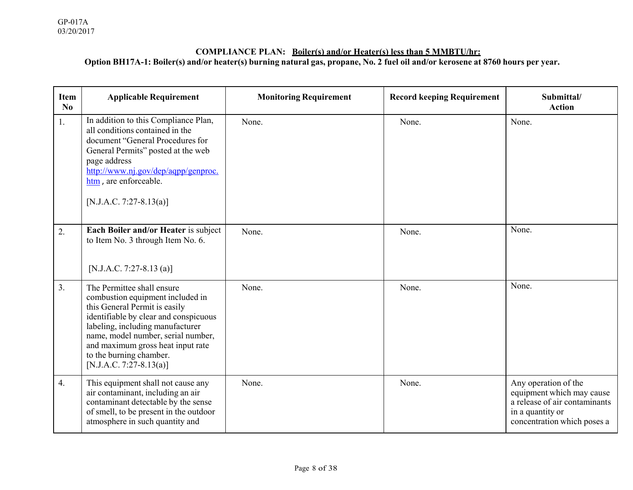#### **COMPLIANCE PLAN: Boiler(s) and/or Heater(s) less than 5 MMBTU/hr: Option BH17A-1: Boiler(s) and/or heater(s) burning natural gas, propane, No. 2 fuel oil and/or kerosene at 8760 hours per year.**

| <b>Item</b><br>No | <b>Applicable Requirement</b>                                                                                                                                                                                                                                                                                 | <b>Monitoring Requirement</b> | <b>Record keeping Requirement</b> | Submittal/<br><b>Action</b>                                                                                                           |
|-------------------|---------------------------------------------------------------------------------------------------------------------------------------------------------------------------------------------------------------------------------------------------------------------------------------------------------------|-------------------------------|-----------------------------------|---------------------------------------------------------------------------------------------------------------------------------------|
| 1.                | In addition to this Compliance Plan,<br>all conditions contained in the<br>document "General Procedures for<br>General Permits" posted at the web<br>page address<br>http://www.nj.gov/dep/aqpp/genproc.<br>htm, are enforceable.<br>[N.J.A.C. 7:27-8.13(a)]                                                  | None.                         | None.                             | None.                                                                                                                                 |
| 2.                | Each Boiler and/or Heater is subject<br>to Item No. 3 through Item No. 6.<br>[N.J.A.C. 7:27-8.13 (a)]                                                                                                                                                                                                         | None.                         | None.                             | None.                                                                                                                                 |
| 3.                | The Permittee shall ensure<br>combustion equipment included in<br>this General Permit is easily<br>identifiable by clear and conspicuous<br>labeling, including manufacturer<br>name, model number, serial number,<br>and maximum gross heat input rate<br>to the burning chamber.<br>[N.J.A.C. 7:27-8.13(a)] | None.                         | None.                             | None.                                                                                                                                 |
| 4.                | This equipment shall not cause any<br>air contaminant, including an air<br>contaminant detectable by the sense<br>of smell, to be present in the outdoor<br>atmosphere in such quantity and                                                                                                                   | None.                         | None.                             | Any operation of the<br>equipment which may cause<br>a release of air contaminants<br>in a quantity or<br>concentration which poses a |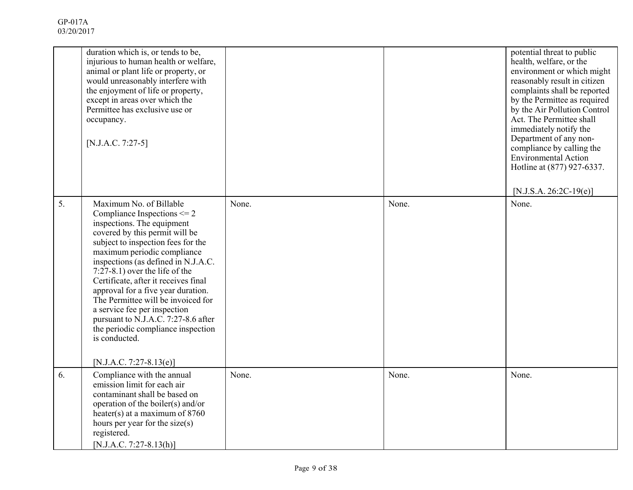|    | duration which is, or tends to be,<br>injurious to human health or welfare,<br>animal or plant life or property, or<br>would unreasonably interfere with<br>the enjoyment of life or property,<br>except in areas over which the<br>Permittee has exclusive use or<br>occupancy.<br>[N.J.A.C. 7:27-5]                                                                                                                                                                                                                                                    |       |       | potential threat to public<br>health, welfare, or the<br>environment or which might<br>reasonably result in citizen<br>complaints shall be reported<br>by the Permittee as required<br>by the Air Pollution Control<br>Act. The Permittee shall<br>immediately notify the<br>Department of any non-<br>compliance by calling the<br><b>Environmental Action</b><br>Hotline at (877) 927-6337.<br>$[N.J.S.A. 26:2C-19(e)]$ |
|----|----------------------------------------------------------------------------------------------------------------------------------------------------------------------------------------------------------------------------------------------------------------------------------------------------------------------------------------------------------------------------------------------------------------------------------------------------------------------------------------------------------------------------------------------------------|-------|-------|---------------------------------------------------------------------------------------------------------------------------------------------------------------------------------------------------------------------------------------------------------------------------------------------------------------------------------------------------------------------------------------------------------------------------|
| 5. | Maximum No. of Billable<br>Compliance Inspections $\leq$ 2<br>inspections. The equipment<br>covered by this permit will be<br>subject to inspection fees for the<br>maximum periodic compliance<br>inspections (as defined in N.J.A.C.<br>$7:27-8.1$ ) over the life of the<br>Certificate, after it receives final<br>approval for a five year duration.<br>The Permittee will be invoiced for<br>a service fee per inspection<br>pursuant to N.J.A.C. 7:27-8.6 after<br>the periodic compliance inspection<br>is conducted.<br>[N.J.A.C. 7:27-8.13(e)] | None. | None. | None.                                                                                                                                                                                                                                                                                                                                                                                                                     |
| 6. | Compliance with the annual<br>emission limit for each air<br>contaminant shall be based on<br>operation of the boiler(s) and/or<br>heater(s) at a maximum of $8760$<br>hours per year for the size(s)<br>registered.<br>[N.J.A.C. 7:27-8.13(h)]                                                                                                                                                                                                                                                                                                          | None. | None. | None.                                                                                                                                                                                                                                                                                                                                                                                                                     |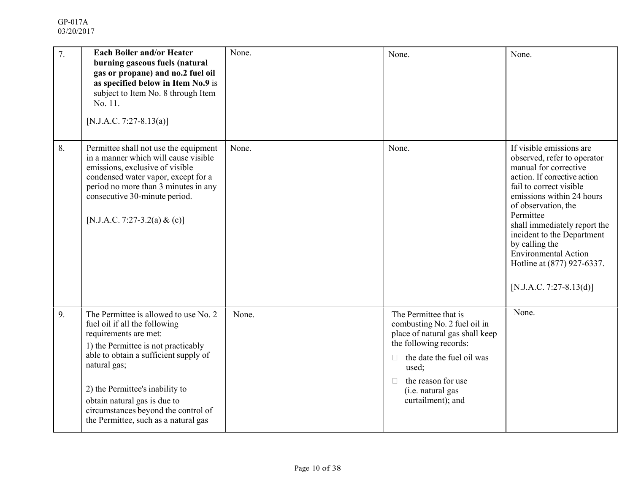| 7. | <b>Each Boiler and/or Heater</b><br>burning gaseous fuels (natural<br>gas or propane) and no.2 fuel oil<br>as specified below in Item No.9 is<br>subject to Item No. 8 through Item<br>No. 11.<br>[N.J.A.C. 7:27-8.13(a)]                                                                                                                         | None. | None.                                                                                                                                                                                                                                    | None.                                                                                                                                                                                                                                                                                                                                                                                |
|----|---------------------------------------------------------------------------------------------------------------------------------------------------------------------------------------------------------------------------------------------------------------------------------------------------------------------------------------------------|-------|------------------------------------------------------------------------------------------------------------------------------------------------------------------------------------------------------------------------------------------|--------------------------------------------------------------------------------------------------------------------------------------------------------------------------------------------------------------------------------------------------------------------------------------------------------------------------------------------------------------------------------------|
| 8. | Permittee shall not use the equipment<br>in a manner which will cause visible<br>emissions, exclusive of visible<br>condensed water vapor, except for a<br>period no more than 3 minutes in any<br>consecutive 30-minute period.<br>[N.J.A.C. 7:27-3.2(a) & (c)]                                                                                  | None. | None.                                                                                                                                                                                                                                    | If visible emissions are<br>observed, refer to operator<br>manual for corrective<br>action. If corrective action<br>fail to correct visible<br>emissions within 24 hours<br>of observation, the<br>Permittee<br>shall immediately report the<br>incident to the Department<br>by calling the<br><b>Environmental Action</b><br>Hotline at (877) 927-6337.<br>[N.J.A.C. 7:27-8.13(d)] |
| 9. | The Permittee is allowed to use No. 2<br>fuel oil if all the following<br>requirements are met:<br>1) the Permittee is not practicably<br>able to obtain a sufficient supply of<br>natural gas;<br>2) the Permittee's inability to<br>obtain natural gas is due to<br>circumstances beyond the control of<br>the Permittee, such as a natural gas | None. | The Permittee that is<br>combusting No. 2 fuel oil in<br>place of natural gas shall keep<br>the following records:<br>the date the fuel oil was<br>П.<br>used;<br>the reason for use<br>$\Box$<br>(i.e. natural gas<br>curtailment); and | None.                                                                                                                                                                                                                                                                                                                                                                                |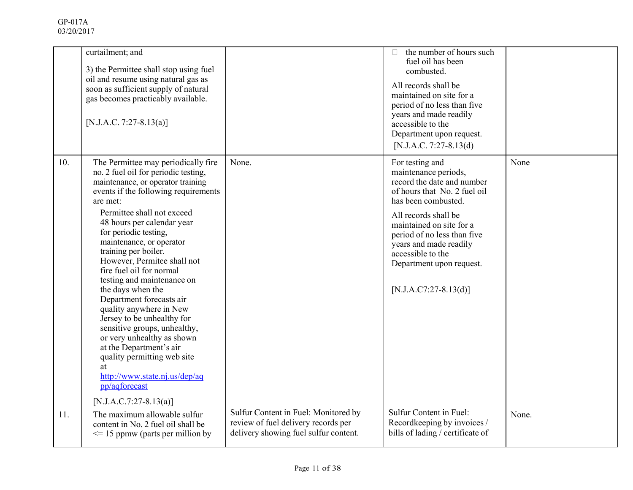|     | curtailment; and<br>3) the Permittee shall stop using fuel<br>oil and resume using natural gas as<br>soon as sufficient supply of natural<br>gas becomes practicably available.<br>[N.J.A.C. 7:27-8.13(a)]                                                                                                                                                                                                                                                                                                                                                                                                                                                                                                                 |                                                                              | the number of hours such<br>fuel oil has been<br>combusted.<br>All records shall be<br>maintained on site for a<br>period of no less than five<br>years and made readily<br>accessible to the<br>Department upon request.<br>[N.J.A.C. 7:27-8.13(d)                                                                   |       |
|-----|----------------------------------------------------------------------------------------------------------------------------------------------------------------------------------------------------------------------------------------------------------------------------------------------------------------------------------------------------------------------------------------------------------------------------------------------------------------------------------------------------------------------------------------------------------------------------------------------------------------------------------------------------------------------------------------------------------------------------|------------------------------------------------------------------------------|-----------------------------------------------------------------------------------------------------------------------------------------------------------------------------------------------------------------------------------------------------------------------------------------------------------------------|-------|
| 10. | The Permittee may periodically fire<br>no. 2 fuel oil for periodic testing,<br>maintenance, or operator training<br>events if the following requirements<br>are met:<br>Permittee shall not exceed<br>48 hours per calendar year<br>for periodic testing,<br>maintenance, or operator<br>training per boiler.<br>However, Permitee shall not<br>fire fuel oil for normal<br>testing and maintenance on<br>the days when the<br>Department forecasts air<br>quality anywhere in New<br>Jersey to be unhealthy for<br>sensitive groups, unhealthy,<br>or very unhealthy as shown<br>at the Department's air<br>quality permitting web site<br>at<br>http://www.state.nj.us/dep/aq<br>pp/aqforecast<br>[N.J.A.C.7:27-8.13(a)] | None.                                                                        | For testing and<br>maintenance periods,<br>record the date and number<br>of hours that No. 2 fuel oil<br>has been combusted.<br>All records shall be<br>maintained on site for a<br>period of no less than five<br>years and made readily<br>accessible to the<br>Department upon request.<br>$[N.J.A.C7:27-8.13(d)]$ | None  |
| 11. | The maximum allowable sulfur                                                                                                                                                                                                                                                                                                                                                                                                                                                                                                                                                                                                                                                                                               | Sulfur Content in Fuel: Monitored by                                         | Sulfur Content in Fuel:                                                                                                                                                                                                                                                                                               | None. |
|     | content in No. 2 fuel oil shall be<br>$\leq$ 15 ppmw (parts per million by                                                                                                                                                                                                                                                                                                                                                                                                                                                                                                                                                                                                                                                 | review of fuel delivery records per<br>delivery showing fuel sulfur content. | Recordkeeping by invoices /<br>bills of lading / certificate of                                                                                                                                                                                                                                                       |       |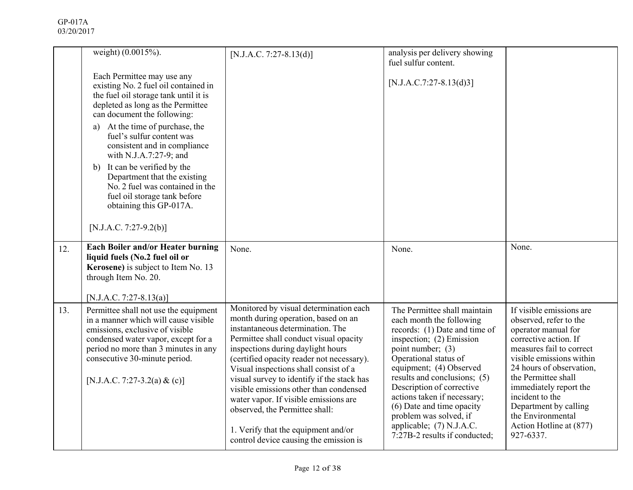|     | weight) (0.0015%).                                                                                                                                                                                                                                               | $[N.J.A.C. 7:27-8.13(d)]$                                                                                                                                                                                                                                                                                                                                                                                                                                                                                                                  | analysis per delivery showing<br>fuel sulfur content.                                                                                                                                                                                                                                                                                                                                                          |                                                                                                                                                                                                                                                                                                                                                  |
|-----|------------------------------------------------------------------------------------------------------------------------------------------------------------------------------------------------------------------------------------------------------------------|--------------------------------------------------------------------------------------------------------------------------------------------------------------------------------------------------------------------------------------------------------------------------------------------------------------------------------------------------------------------------------------------------------------------------------------------------------------------------------------------------------------------------------------------|----------------------------------------------------------------------------------------------------------------------------------------------------------------------------------------------------------------------------------------------------------------------------------------------------------------------------------------------------------------------------------------------------------------|--------------------------------------------------------------------------------------------------------------------------------------------------------------------------------------------------------------------------------------------------------------------------------------------------------------------------------------------------|
|     | Each Permittee may use any<br>existing No. 2 fuel oil contained in<br>the fuel oil storage tank until it is<br>depleted as long as the Permittee<br>can document the following:                                                                                  |                                                                                                                                                                                                                                                                                                                                                                                                                                                                                                                                            | $[N.J.A.C.7:27-8.13(d)3]$                                                                                                                                                                                                                                                                                                                                                                                      |                                                                                                                                                                                                                                                                                                                                                  |
|     | At the time of purchase, the<br>a)<br>fuel's sulfur content was<br>consistent and in compliance<br>with N.J.A.7:27-9; and                                                                                                                                        |                                                                                                                                                                                                                                                                                                                                                                                                                                                                                                                                            |                                                                                                                                                                                                                                                                                                                                                                                                                |                                                                                                                                                                                                                                                                                                                                                  |
|     | b) It can be verified by the<br>Department that the existing<br>No. 2 fuel was contained in the<br>fuel oil storage tank before<br>obtaining this GP-017A.                                                                                                       |                                                                                                                                                                                                                                                                                                                                                                                                                                                                                                                                            |                                                                                                                                                                                                                                                                                                                                                                                                                |                                                                                                                                                                                                                                                                                                                                                  |
|     | [N.J.A.C. 7:27-9.2(b)]                                                                                                                                                                                                                                           |                                                                                                                                                                                                                                                                                                                                                                                                                                                                                                                                            |                                                                                                                                                                                                                                                                                                                                                                                                                |                                                                                                                                                                                                                                                                                                                                                  |
| 12. | Each Boiler and/or Heater burning<br>liquid fuels (No.2 fuel oil or<br>Kerosene) is subject to Item No. 13<br>through Item No. 20.<br>[N.J.A.C. 7:27-8.13(a)]                                                                                                    | None.                                                                                                                                                                                                                                                                                                                                                                                                                                                                                                                                      | None.                                                                                                                                                                                                                                                                                                                                                                                                          | None.                                                                                                                                                                                                                                                                                                                                            |
| 13. | Permittee shall not use the equipment<br>in a manner which will cause visible<br>emissions, exclusive of visible<br>condensed water vapor, except for a<br>period no more than 3 minutes in any<br>consecutive 30-minute period.<br>[N.J.A.C. 7:27-3.2(a) & (c)] | Monitored by visual determination each<br>month during operation, based on an<br>instantaneous determination. The<br>Permittee shall conduct visual opacity<br>inspections during daylight hours<br>(certified opacity reader not necessary).<br>Visual inspections shall consist of a<br>visual survey to identify if the stack has<br>visible emissions other than condensed<br>water vapor. If visible emissions are<br>observed, the Permittee shall:<br>1. Verify that the equipment and/or<br>control device causing the emission is | The Permittee shall maintain<br>each month the following<br>records: (1) Date and time of<br>inspection; (2) Emission<br>point number; (3)<br>Operational status of<br>equipment; (4) Observed<br>results and conclusions; (5)<br>Description of corrective<br>actions taken if necessary;<br>(6) Date and time opacity<br>problem was solved, if<br>applicable; (7) N.J.A.C.<br>7:27B-2 results if conducted; | If visible emissions are<br>observed, refer to the<br>operator manual for<br>corrective action. If<br>measures fail to correct<br>visible emissions within<br>24 hours of observation,<br>the Permittee shall<br>immediately report the<br>incident to the<br>Department by calling<br>the Environmental<br>Action Hotline at (877)<br>927-6337. |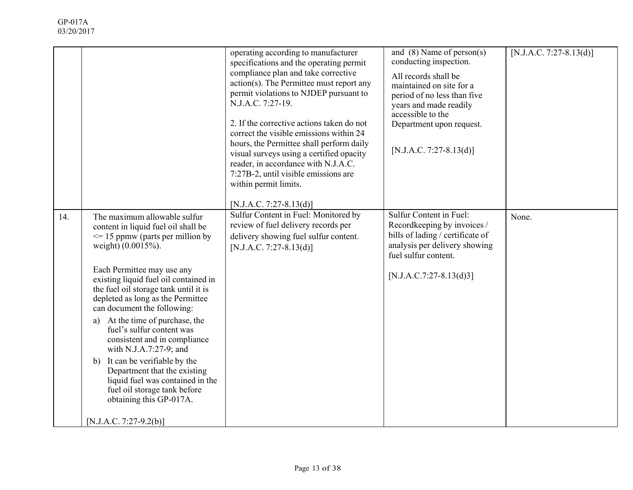|     |                                                                                                                                                                                                                                                                                                                                                                                                                                                                                                                                                                                                                                                  | operating according to manufacturer<br>specifications and the operating permit<br>compliance plan and take corrective<br>$action(s)$ . The Permittee must report any<br>permit violations to NJDEP pursuant to<br>N.J.A.C. 7:27-19.<br>2. If the corrective actions taken do not<br>correct the visible emissions within 24<br>hours, the Permittee shall perform daily<br>visual surveys using a certified opacity<br>reader, in accordance with N.J.A.C.<br>7:27B-2, until visible emissions are<br>within permit limits.<br>[N.J.A.C. 7:27-8.13(d)] | and $(8)$ Name of person $(s)$<br>conducting inspection.<br>All records shall be<br>maintained on site for a<br>period of no less than five<br>years and made readily<br>accessible to the<br>Department upon request.<br>[N.J.A.C. 7:27-8.13(d)] | [N.J.A.C. 7:27-8.13(d)] |
|-----|--------------------------------------------------------------------------------------------------------------------------------------------------------------------------------------------------------------------------------------------------------------------------------------------------------------------------------------------------------------------------------------------------------------------------------------------------------------------------------------------------------------------------------------------------------------------------------------------------------------------------------------------------|--------------------------------------------------------------------------------------------------------------------------------------------------------------------------------------------------------------------------------------------------------------------------------------------------------------------------------------------------------------------------------------------------------------------------------------------------------------------------------------------------------------------------------------------------------|---------------------------------------------------------------------------------------------------------------------------------------------------------------------------------------------------------------------------------------------------|-------------------------|
| 14. | The maximum allowable sulfur<br>content in liquid fuel oil shall be<br>$\leq$ 15 ppmw (parts per million by<br>weight) (0.0015%).<br>Each Permittee may use any<br>existing liquid fuel oil contained in<br>the fuel oil storage tank until it is<br>depleted as long as the Permittee<br>can document the following:<br>At the time of purchase, the<br>a)<br>fuel's sulfur content was<br>consistent and in compliance<br>with N.J.A.7:27-9; and<br>It can be verifiable by the<br>b)<br>Department that the existing<br>liquid fuel was contained in the<br>fuel oil storage tank before<br>obtaining this GP-017A.<br>[N.J.A.C. 7:27-9.2(b)] | Sulfur Content in Fuel: Monitored by<br>review of fuel delivery records per<br>delivery showing fuel sulfur content.<br>$[N.J.A.C. 7:27-8.13(d)]$                                                                                                                                                                                                                                                                                                                                                                                                      | Sulfur Content in Fuel:<br>Recordkeeping by invoices /<br>bills of lading / certificate of<br>analysis per delivery showing<br>fuel sulfur content.<br>$[N.J.A.C.7:27-8.13(d)3]$                                                                  | None.                   |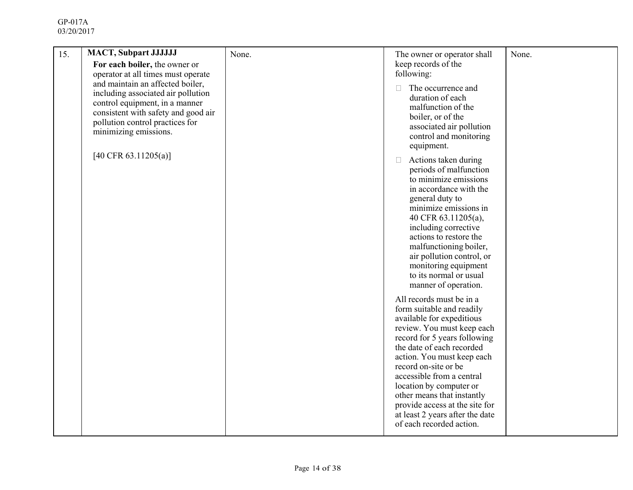| 15. | <b>MACT, Subpart JJJJJJJ</b>                                                                                                                                                                                                                      | None. | The owner or operator shall                                                                                                                                                                                                                                                                                                                                                                                                | None. |
|-----|---------------------------------------------------------------------------------------------------------------------------------------------------------------------------------------------------------------------------------------------------|-------|----------------------------------------------------------------------------------------------------------------------------------------------------------------------------------------------------------------------------------------------------------------------------------------------------------------------------------------------------------------------------------------------------------------------------|-------|
|     | For each boiler, the owner or                                                                                                                                                                                                                     |       | keep records of the<br>following:                                                                                                                                                                                                                                                                                                                                                                                          |       |
|     | operator at all times must operate<br>and maintain an affected boiler,<br>including associated air pollution<br>control equipment, in a manner<br>consistent with safety and good air<br>pollution control practices for<br>minimizing emissions. |       | The occurrence and<br>П<br>duration of each<br>malfunction of the<br>boiler, or of the<br>associated air pollution<br>control and monitoring<br>equipment.                                                                                                                                                                                                                                                                 |       |
|     | [40 CFR 63.11205(a)]                                                                                                                                                                                                                              |       | Actions taken during<br>$\Box$<br>periods of malfunction<br>to minimize emissions<br>in accordance with the<br>general duty to<br>minimize emissions in<br>40 CFR 63.11205(a),<br>including corrective<br>actions to restore the<br>malfunctioning boiler,<br>air pollution control, or<br>monitoring equipment<br>to its normal or usual<br>manner of operation.                                                          |       |
|     |                                                                                                                                                                                                                                                   |       | All records must be in a<br>form suitable and readily<br>available for expeditious<br>review. You must keep each<br>record for 5 years following<br>the date of each recorded<br>action. You must keep each<br>record on-site or be<br>accessible from a central<br>location by computer or<br>other means that instantly<br>provide access at the site for<br>at least 2 years after the date<br>of each recorded action. |       |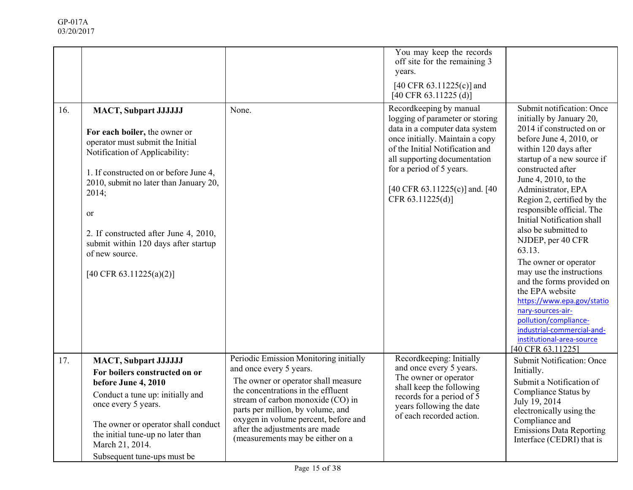|     |                                                                                                                                                                                                                                                                                                                                                                                 |                                                                                                                                                                                                                                                                                                                                        | You may keep the records<br>off site for the remaining 3<br>years.<br>[40 CFR $63.11225(c)$ ] and<br>$[40 \text{ CFR } 63.11225 \text{ (d)}]$                                                                                                                                       |                                                                                                                                                                                                                                                                                                                                                                                                                                                                                                                                                                                                                                                          |
|-----|---------------------------------------------------------------------------------------------------------------------------------------------------------------------------------------------------------------------------------------------------------------------------------------------------------------------------------------------------------------------------------|----------------------------------------------------------------------------------------------------------------------------------------------------------------------------------------------------------------------------------------------------------------------------------------------------------------------------------------|-------------------------------------------------------------------------------------------------------------------------------------------------------------------------------------------------------------------------------------------------------------------------------------|----------------------------------------------------------------------------------------------------------------------------------------------------------------------------------------------------------------------------------------------------------------------------------------------------------------------------------------------------------------------------------------------------------------------------------------------------------------------------------------------------------------------------------------------------------------------------------------------------------------------------------------------------------|
| 16. | <b>MACT, Subpart JJJJJJJ</b><br>For each boiler, the owner or<br>operator must submit the Initial<br>Notification of Applicability:<br>1. If constructed on or before June 4,<br>2010, submit no later than January 20,<br>2014;<br><sub>or</sub><br>2. If constructed after June 4, 2010,<br>submit within 120 days after startup<br>of new source.<br>[40 CFR 63.11225(a)(2)] | None.                                                                                                                                                                                                                                                                                                                                  | Recordkeeping by manual<br>logging of parameter or storing<br>data in a computer data system<br>once initially. Maintain a copy<br>of the Initial Notification and<br>all supporting documentation<br>for a period of 5 years.<br>[40 CFR 63.11225(c)] and. [40<br>CFR 63.11225(d)] | Submit notification: Once<br>initially by January 20,<br>2014 if constructed on or<br>before June 4, 2010, or<br>within 120 days after<br>startup of a new source if<br>constructed after<br>June 4, 2010, to the<br>Administrator, EPA<br>Region 2, certified by the<br>responsible official. The<br>Initial Notification shall<br>also be submitted to<br>NJDEP, per 40 CFR<br>63.13.<br>The owner or operator<br>may use the instructions<br>and the forms provided on<br>the EPA website<br>https://www.epa.gov/statio<br>nary-sources-air-<br>pollution/compliance-<br>industrial-commercial-and-<br>institutional-area-source<br>[40 CFR 63.11225] |
| 17. | <b>MACT, Subpart JJJJJJJ</b><br>For boilers constructed on or<br>before June 4, 2010<br>Conduct a tune up: initially and<br>once every 5 years.<br>The owner or operator shall conduct<br>the initial tune-up no later than<br>March 21, 2014.<br>Subsequent tune-ups must be                                                                                                   | Periodic Emission Monitoring initially<br>and once every 5 years.<br>The owner or operator shall measure<br>the concentrations in the effluent<br>stream of carbon monoxide (CO) in<br>parts per million, by volume, and<br>oxygen in volume percent, before and<br>after the adjustments are made<br>(measurements may be either on a | Recordkeeping: Initially<br>and once every 5 years.<br>The owner or operator<br>shall keep the following<br>records for a period of 5<br>years following the date<br>of each recorded action.                                                                                       | Submit Notification: Once<br>Initially.<br>Submit a Notification of<br>Compliance Status by<br>July 19, 2014<br>electronically using the<br>Compliance and<br><b>Emissions Data Reporting</b><br>Interface (CEDRI) that is                                                                                                                                                                                                                                                                                                                                                                                                                               |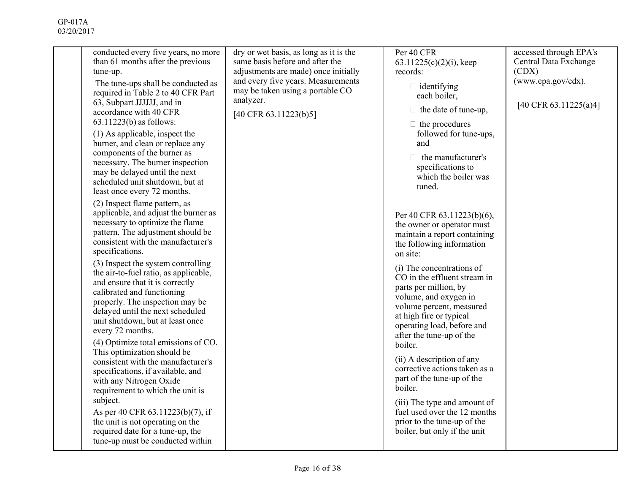| conducted every five years, no more<br>than 61 months after the previous<br>tune-up.<br>The tune-ups shall be conducted as<br>required in Table 2 to 40 CFR Part<br>63, Subpart JJJJJJ, and in<br>accordance with 40 CFR<br>$63.11223(b)$ as follows:<br>(1) As applicable, inspect the<br>burner, and clean or replace any<br>components of the burner as<br>necessary. The burner inspection<br>may be delayed until the next<br>scheduled unit shutdown, but at<br>least once every 72 months.<br>(2) Inspect flame pattern, as<br>applicable, and adjust the burner as<br>necessary to optimize the flame<br>pattern. The adjustment should be<br>consistent with the manufacturer's<br>specifications.<br>(3) Inspect the system controlling<br>the air-to-fuel ratio, as applicable,<br>and ensure that it is correctly<br>calibrated and functioning<br>properly. The inspection may be<br>delayed until the next scheduled<br>unit shutdown, but at least once<br>every 72 months.<br>(4) Optimize total emissions of CO.<br>This optimization should be<br>consistent with the manufacturer's<br>specifications, if available, and<br>with any Nitrogen Oxide<br>requirement to which the unit is<br>subject.<br>As per 40 CFR 63.11223(b)(7), if<br>the unit is not operating on the<br>required date for a tune-up, the<br>tune-up must be conducted within | dry or wet basis, as long as it is the<br>same basis before and after the<br>adjustments are made) once initially<br>and every five years. Measurements<br>may be taken using a portable CO<br>analyzer.<br>[40 CFR 63.11223(b)5] | Per 40 CFR<br>$63.11225(c)(2)(i)$ , keep<br>records:<br>$\Box$ identifying<br>each boiler,<br>$\Box$ the date of tune-up,<br>$\Box$ the procedures<br>followed for tune-ups,<br>and<br>$\Box$ the manufacturer's<br>specifications to<br>which the boiler was<br>tuned.<br>Per 40 CFR 63.11223(b)(6),<br>the owner or operator must<br>maintain a report containing<br>the following information<br>on site:<br>(i) The concentrations of<br>CO in the effluent stream in<br>parts per million, by<br>volume, and oxygen in<br>volume percent, measured<br>at high fire or typical<br>operating load, before and<br>after the tune-up of the<br>boiler.<br>(ii) A description of any<br>corrective actions taken as a<br>part of the tune-up of the<br>boiler.<br>(iii) The type and amount of<br>fuel used over the 12 months<br>prior to the tune-up of the<br>boiler, but only if the unit | accessed through EPA's<br>Central Data Exchange<br>(CDX)<br>(www.epa.gov/cdx).<br>[40 CFR 63.11225(a)4] |
|------------------------------------------------------------------------------------------------------------------------------------------------------------------------------------------------------------------------------------------------------------------------------------------------------------------------------------------------------------------------------------------------------------------------------------------------------------------------------------------------------------------------------------------------------------------------------------------------------------------------------------------------------------------------------------------------------------------------------------------------------------------------------------------------------------------------------------------------------------------------------------------------------------------------------------------------------------------------------------------------------------------------------------------------------------------------------------------------------------------------------------------------------------------------------------------------------------------------------------------------------------------------------------------------------------------------------------------------------------------------|-----------------------------------------------------------------------------------------------------------------------------------------------------------------------------------------------------------------------------------|-----------------------------------------------------------------------------------------------------------------------------------------------------------------------------------------------------------------------------------------------------------------------------------------------------------------------------------------------------------------------------------------------------------------------------------------------------------------------------------------------------------------------------------------------------------------------------------------------------------------------------------------------------------------------------------------------------------------------------------------------------------------------------------------------------------------------------------------------------------------------------------------------|---------------------------------------------------------------------------------------------------------|
|                                                                                                                                                                                                                                                                                                                                                                                                                                                                                                                                                                                                                                                                                                                                                                                                                                                                                                                                                                                                                                                                                                                                                                                                                                                                                                                                                                        |                                                                                                                                                                                                                                   |                                                                                                                                                                                                                                                                                                                                                                                                                                                                                                                                                                                                                                                                                                                                                                                                                                                                                               |                                                                                                         |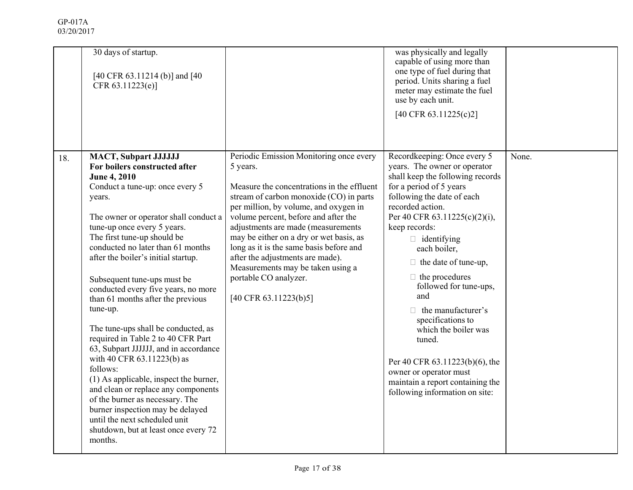|     | 30 days of startup.<br>[40 CFR 63.11214 (b)] and [40<br>CFR 63.11223(e)]                                                                                                                                                                                                                                                                                                                                                                                                                                                                                                                                                                                                                                                                                                                                                                                |                                                                                                                                                                                                                                                                                                                                                                                                                                                                                                 | was physically and legally<br>capable of using more than<br>one type of fuel during that<br>period. Units sharing a fuel<br>meter may estimate the fuel<br>use by each unit.<br>[40 CFR 63.11225(c)2]                                                                                                                                                                                                                                                                                                                                                                             |       |
|-----|---------------------------------------------------------------------------------------------------------------------------------------------------------------------------------------------------------------------------------------------------------------------------------------------------------------------------------------------------------------------------------------------------------------------------------------------------------------------------------------------------------------------------------------------------------------------------------------------------------------------------------------------------------------------------------------------------------------------------------------------------------------------------------------------------------------------------------------------------------|-------------------------------------------------------------------------------------------------------------------------------------------------------------------------------------------------------------------------------------------------------------------------------------------------------------------------------------------------------------------------------------------------------------------------------------------------------------------------------------------------|-----------------------------------------------------------------------------------------------------------------------------------------------------------------------------------------------------------------------------------------------------------------------------------------------------------------------------------------------------------------------------------------------------------------------------------------------------------------------------------------------------------------------------------------------------------------------------------|-------|
| 18. | <b>MACT, Subpart JJJJJJJ</b><br>For boilers constructed after<br><b>June 4, 2010</b><br>Conduct a tune-up: once every 5<br>years.<br>The owner or operator shall conduct a<br>tune-up once every 5 years.<br>The first tune-up should be<br>conducted no later than 61 months<br>after the boiler's initial startup.<br>Subsequent tune-ups must be<br>conducted every five years, no more<br>than 61 months after the previous<br>tune-up.<br>The tune-ups shall be conducted, as<br>required in Table 2 to 40 CFR Part<br>63, Subpart JJJJJJ, and in accordance<br>with 40 CFR 63.11223(b) as<br>follows:<br>(1) As applicable, inspect the burner,<br>and clean or replace any components<br>of the burner as necessary. The<br>burner inspection may be delayed<br>until the next scheduled unit<br>shutdown, but at least once every 72<br>months. | Periodic Emission Monitoring once every<br>5 years.<br>Measure the concentrations in the effluent<br>stream of carbon monoxide (CO) in parts<br>per million, by volume, and oxygen in<br>volume percent, before and after the<br>adjustments are made (measurements<br>may be either on a dry or wet basis, as<br>long as it is the same basis before and<br>after the adjustments are made).<br>Measurements may be taken using a<br>portable CO analyzer.<br>$[40 \text{ CFR } 63.11223(b)5]$ | Recordkeeping: Once every 5<br>years. The owner or operator<br>shall keep the following records<br>for a period of 5 years<br>following the date of each<br>recorded action.<br>Per 40 CFR 63.11225(c)(2)(i),<br>keep records:<br>$\Box$ identifying<br>each boiler,<br>the date of tune-up,<br>П<br>$\Box$ the procedures<br>followed for tune-ups,<br>and<br>$\Box$ the manufacturer's<br>specifications to<br>which the boiler was<br>tuned.<br>Per 40 CFR 63.11223(b)(6), the<br>owner or operator must<br>maintain a report containing the<br>following information on site: | None. |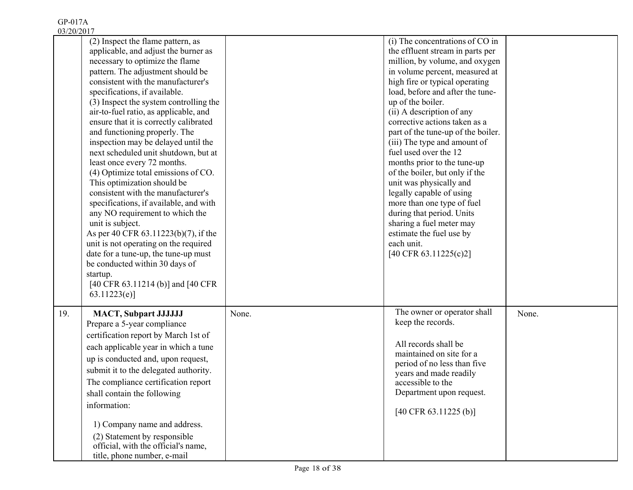| 0.012012011 |                                                                                                                                                                                                                                                                                                                                                                                                                                                                                                                                                                                                                                                                                                                                                                                                                                                                                                                                              |       |                                                                                                                                                                                                                                                                                                                                                                                                                                                                                                                                                                                                                                                                                   |       |
|-------------|----------------------------------------------------------------------------------------------------------------------------------------------------------------------------------------------------------------------------------------------------------------------------------------------------------------------------------------------------------------------------------------------------------------------------------------------------------------------------------------------------------------------------------------------------------------------------------------------------------------------------------------------------------------------------------------------------------------------------------------------------------------------------------------------------------------------------------------------------------------------------------------------------------------------------------------------|-------|-----------------------------------------------------------------------------------------------------------------------------------------------------------------------------------------------------------------------------------------------------------------------------------------------------------------------------------------------------------------------------------------------------------------------------------------------------------------------------------------------------------------------------------------------------------------------------------------------------------------------------------------------------------------------------------|-------|
|             | (2) Inspect the flame pattern, as<br>applicable, and adjust the burner as<br>necessary to optimize the flame<br>pattern. The adjustment should be<br>consistent with the manufacturer's<br>specifications, if available.<br>(3) Inspect the system controlling the<br>air-to-fuel ratio, as applicable, and<br>ensure that it is correctly calibrated<br>and functioning properly. The<br>inspection may be delayed until the<br>next scheduled unit shutdown, but at<br>least once every 72 months.<br>(4) Optimize total emissions of CO.<br>This optimization should be<br>consistent with the manufacturer's<br>specifications, if available, and with<br>any NO requirement to which the<br>unit is subject.<br>As per 40 CFR 63.11223(b)(7), if the<br>unit is not operating on the required<br>date for a tune-up, the tune-up must<br>be conducted within 30 days of<br>startup.<br>[40 CFR 63.11214 (b)] and [40 CFR<br>63.11223(e) |       | (i) The concentrations of CO in<br>the effluent stream in parts per<br>million, by volume, and oxygen<br>in volume percent, measured at<br>high fire or typical operating<br>load, before and after the tune-<br>up of the boiler.<br>(ii) A description of any<br>corrective actions taken as a<br>part of the tune-up of the boiler.<br>(iii) The type and amount of<br>fuel used over the 12<br>months prior to the tune-up<br>of the boiler, but only if the<br>unit was physically and<br>legally capable of using<br>more than one type of fuel<br>during that period. Units<br>sharing a fuel meter may<br>estimate the fuel use by<br>each unit.<br>[40 CFR 63.11225(c)2] |       |
| 19.         | <b>MACT, Subpart JJJJJJJ</b><br>Prepare a 5-year compliance<br>certification report by March 1st of<br>each applicable year in which a tune<br>up is conducted and, upon request,<br>submit it to the delegated authority.<br>The compliance certification report<br>shall contain the following<br>information:<br>1) Company name and address.<br>(2) Statement by responsible<br>official, with the official's name,<br>title, phone number, e-mail                                                                                                                                                                                                                                                                                                                                                                                                                                                                                       | None. | The owner or operator shall<br>keep the records.<br>All records shall be<br>maintained on site for a<br>period of no less than five<br>years and made readily<br>accessible to the<br>Department upon request.<br>$[40 \text{ CFR } 63.11225 \text{ (b)}]$                                                                                                                                                                                                                                                                                                                                                                                                                        | None. |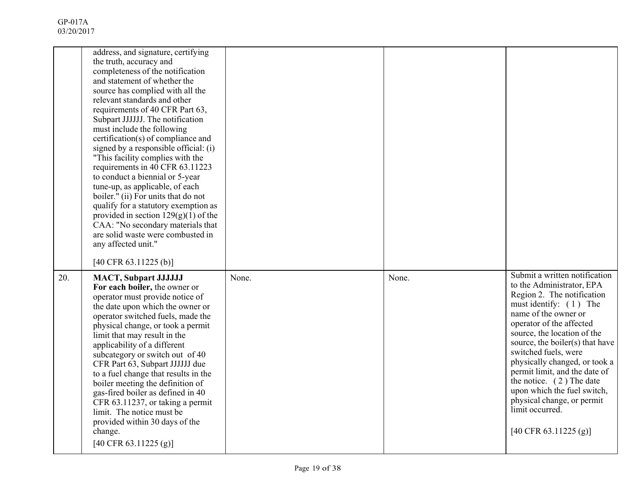|     | address, and signature, certifying<br>the truth, accuracy and<br>completeness of the notification<br>and statement of whether the<br>source has complied with all the<br>relevant standards and other<br>requirements of 40 CFR Part 63,<br>Subpart JJJJJJ. The notification<br>must include the following<br>certification(s) of compliance and<br>signed by a responsible official: (i)<br>"This facility complies with the<br>requirements in 40 CFR 63.11223<br>to conduct a biennial or 5-year<br>tune-up, as applicable, of each<br>boiler." (ii) For units that do not<br>qualify for a statutory exemption as<br>provided in section $129(g)(1)$ of the<br>CAA: "No secondary materials that<br>are solid waste were combusted in<br>any affected unit." |       |       |                                                                                                                                                                                                                                                                                                                                                                                                                                                                                                |
|-----|------------------------------------------------------------------------------------------------------------------------------------------------------------------------------------------------------------------------------------------------------------------------------------------------------------------------------------------------------------------------------------------------------------------------------------------------------------------------------------------------------------------------------------------------------------------------------------------------------------------------------------------------------------------------------------------------------------------------------------------------------------------|-------|-------|------------------------------------------------------------------------------------------------------------------------------------------------------------------------------------------------------------------------------------------------------------------------------------------------------------------------------------------------------------------------------------------------------------------------------------------------------------------------------------------------|
| 20. | [40 CFR 63.11225 (b)]<br><b>MACT, Subpart JJJJJJJ</b><br>For each boiler, the owner or<br>operator must provide notice of<br>the date upon which the owner or<br>operator switched fuels, made the<br>physical change, or took a permit<br>limit that may result in the<br>applicability of a different<br>subcategory or switch out of 40<br>CFR Part 63, Subpart JJJJJJ due<br>to a fuel change that results in the<br>boiler meeting the definition of<br>gas-fired boiler as defined in 40<br>CFR 63.11237, or taking a permit<br>limit. The notice must be<br>provided within 30 days of the<br>change.<br>[40 CFR 63.11225 (g)]                                                                                                                            | None. | None. | Submit a written notification<br>to the Administrator, EPA<br>Region 2. The notification<br>must identify: $(1)$ The<br>name of the owner or<br>operator of the affected<br>source, the location of the<br>source, the boiler(s) that have<br>switched fuels, were<br>physically changed, or took a<br>permit limit, and the date of<br>the notice. $(2)$ The date<br>upon which the fuel switch,<br>physical change, or permit<br>limit occurred.<br>$[40 \text{ CFR } 63.11225 \text{ (g)}]$ |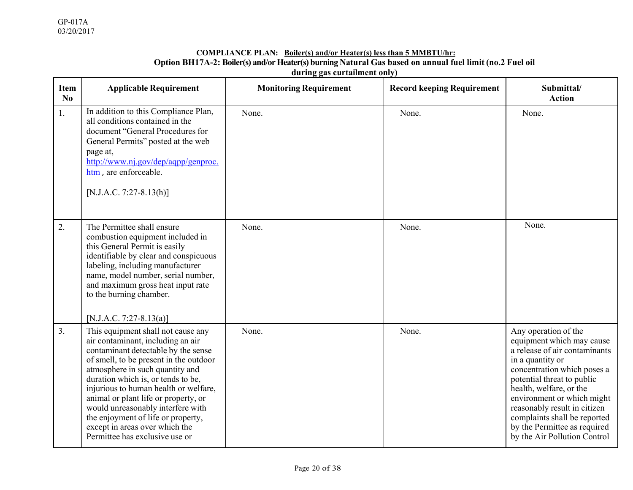#### **COMPLIANCE PLAN: Boiler(s) and/or Heater(s) less than 5 MMBTU/hr: Option BH17A-2: Boiler(s) and/or Heater(s) burning Natural Gas based on annual fuel limit (no.2 Fuel oil during gas curtailment only)**

| <b>Item</b><br>No | <b>Applicable Requirement</b>                                                                                                                                                                                                                                                                                                                                                                                                                                     | <b>Monitoring Requirement</b> | <b>Record keeping Requirement</b> | Submittal/<br><b>Action</b>                                                                                                                                                                                                                                                                                                                                  |
|-------------------|-------------------------------------------------------------------------------------------------------------------------------------------------------------------------------------------------------------------------------------------------------------------------------------------------------------------------------------------------------------------------------------------------------------------------------------------------------------------|-------------------------------|-----------------------------------|--------------------------------------------------------------------------------------------------------------------------------------------------------------------------------------------------------------------------------------------------------------------------------------------------------------------------------------------------------------|
| 1.                | In addition to this Compliance Plan,<br>all conditions contained in the<br>document "General Procedures for<br>General Permits" posted at the web<br>page at,<br>http://www.nj.gov/dep/aqpp/genproc.<br>htm, are enforceable.<br>$[N.J.A.C. 7:27-8.13(h)]$                                                                                                                                                                                                        | None.                         | None.                             | None.                                                                                                                                                                                                                                                                                                                                                        |
| 2.                | The Permittee shall ensure<br>combustion equipment included in<br>this General Permit is easily<br>identifiable by clear and conspicuous<br>labeling, including manufacturer<br>name, model number, serial number,<br>and maximum gross heat input rate<br>to the burning chamber.<br>[N.J.A.C. 7:27-8.13(a)]                                                                                                                                                     | None.                         | None.                             | None.                                                                                                                                                                                                                                                                                                                                                        |
| 3.                | This equipment shall not cause any<br>air contaminant, including an air<br>contaminant detectable by the sense<br>of smell, to be present in the outdoor<br>atmosphere in such quantity and<br>duration which is, or tends to be,<br>injurious to human health or welfare,<br>animal or plant life or property, or<br>would unreasonably interfere with<br>the enjoyment of life or property,<br>except in areas over which the<br>Permittee has exclusive use or | None.                         | None.                             | Any operation of the<br>equipment which may cause<br>a release of air contaminants<br>in a quantity or<br>concentration which poses a<br>potential threat to public<br>health, welfare, or the<br>environment or which might<br>reasonably result in citizen<br>complaints shall be reported<br>by the Permittee as required<br>by the Air Pollution Control |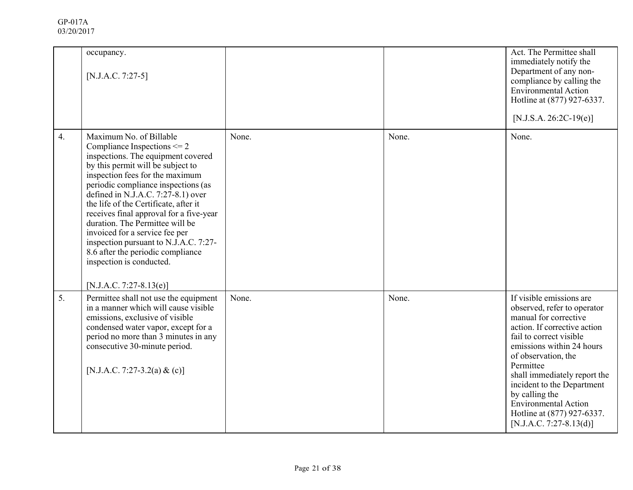|                  | occupancy.<br>[N.J.A.C. 7:27-5]                                                                                                                                                                                                                                                                                                                                                                                                                                                                                                                       |       |       | Act. The Permittee shall<br>immediately notify the<br>Department of any non-<br>compliance by calling the<br><b>Environmental Action</b><br>Hotline at (877) 927-6337.<br>$[N.J.S.A. 26:2C-19(e)]$                                                                                                                                                                                     |
|------------------|-------------------------------------------------------------------------------------------------------------------------------------------------------------------------------------------------------------------------------------------------------------------------------------------------------------------------------------------------------------------------------------------------------------------------------------------------------------------------------------------------------------------------------------------------------|-------|-------|----------------------------------------------------------------------------------------------------------------------------------------------------------------------------------------------------------------------------------------------------------------------------------------------------------------------------------------------------------------------------------------|
| $\overline{4}$ . | Maximum No. of Billable<br>Compliance Inspections $\leq 2$<br>inspections. The equipment covered<br>by this permit will be subject to<br>inspection fees for the maximum<br>periodic compliance inspections (as<br>defined in N.J.A.C. 7:27-8.1) over<br>the life of the Certificate, after it<br>receives final approval for a five-year<br>duration. The Permittee will be<br>invoiced for a service fee per<br>inspection pursuant to N.J.A.C. 7:27-<br>8.6 after the periodic compliance<br>inspection is conducted.<br>$[N.J.A.C. 7:27-8.13(e)]$ | None. | None. | None.                                                                                                                                                                                                                                                                                                                                                                                  |
| 5.               | Permittee shall not use the equipment<br>in a manner which will cause visible<br>emissions, exclusive of visible<br>condensed water vapor, except for a<br>period no more than 3 minutes in any<br>consecutive 30-minute period.<br>[N.J.A.C. 7:27-3.2(a) & (c)]                                                                                                                                                                                                                                                                                      | None. | None. | If visible emissions are<br>observed, refer to operator<br>manual for corrective<br>action. If corrective action<br>fail to correct visible<br>emissions within 24 hours<br>of observation, the<br>Permittee<br>shall immediately report the<br>incident to the Department<br>by calling the<br><b>Environmental Action</b><br>Hotline at (877) 927-6337.<br>$[N.J.A.C. 7:27-8.13(d)]$ |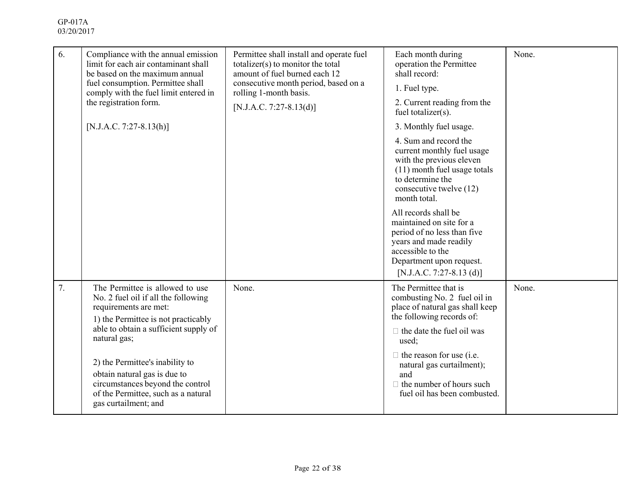| 6. | Compliance with the annual emission<br>limit for each air contaminant shall<br>be based on the maximum annual<br>fuel consumption. Permittee shall<br>comply with the fuel limit entered in<br>the registration form.<br>$[N.J.A.C. 7:27-8.13(h)]$                                                                                                                    | Permittee shall install and operate fuel<br>totalizer(s) to monitor the total<br>amount of fuel burned each 12<br>consecutive month period, based on a<br>rolling 1-month basis.<br>[N.J.A.C. 7:27-8.13(d)] | Each month during<br>operation the Permittee<br>shall record:<br>1. Fuel type.<br>2. Current reading from the<br>fuel totalizer(s).<br>3. Monthly fuel usage.<br>4. Sum and record the<br>current monthly fuel usage<br>with the previous eleven<br>(11) month fuel usage totals<br>to determine the<br>consecutive twelve (12)<br>month total.<br>All records shall be<br>maintained on site for a<br>period of no less than five<br>years and made readily<br>accessible to the<br>Department upon request.<br>[N.J.A.C. 7:27-8.13 (d)] | None. |
|----|-----------------------------------------------------------------------------------------------------------------------------------------------------------------------------------------------------------------------------------------------------------------------------------------------------------------------------------------------------------------------|-------------------------------------------------------------------------------------------------------------------------------------------------------------------------------------------------------------|-------------------------------------------------------------------------------------------------------------------------------------------------------------------------------------------------------------------------------------------------------------------------------------------------------------------------------------------------------------------------------------------------------------------------------------------------------------------------------------------------------------------------------------------|-------|
| 7. | The Permittee is allowed to use<br>No. 2 fuel oil if all the following<br>requirements are met:<br>1) the Permittee is not practicably<br>able to obtain a sufficient supply of<br>natural gas;<br>2) the Permittee's inability to<br>obtain natural gas is due to<br>circumstances beyond the control<br>of the Permittee, such as a natural<br>gas curtailment; and | None.                                                                                                                                                                                                       | The Permittee that is<br>combusting No. 2 fuel oil in<br>place of natural gas shall keep<br>the following records of:<br>$\Box$ the date the fuel oil was<br>used;<br>$\Box$ the reason for use (i.e.<br>natural gas curtailment);<br>and<br>$\Box$ the number of hours such<br>fuel oil has been combusted.                                                                                                                                                                                                                              | None. |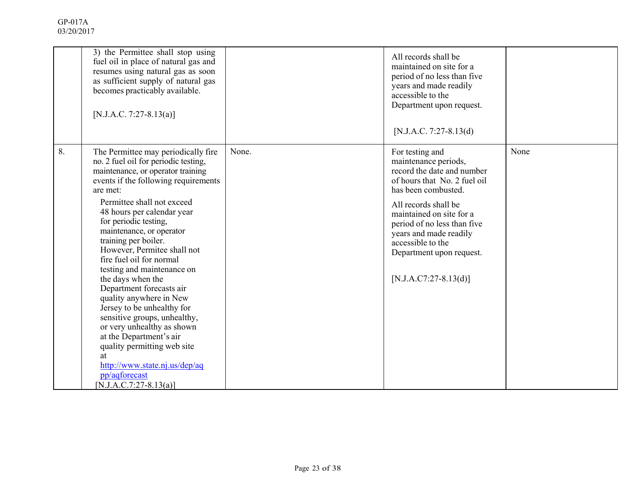|    | 3) the Permittee shall stop using<br>fuel oil in place of natural gas and<br>resumes using natural gas as soon<br>as sufficient supply of natural gas<br>becomes practicably available.<br>[N.J.A.C. 7:27-8.13(a)]                                                                                                                                                                                                                                                                                                                                                                                                                                                                                                         |       | All records shall be<br>maintained on site for a<br>period of no less than five<br>years and made readily<br>accessible to the<br>Department upon request.<br>[N.J.A.C. 7:27-8.13(d)                                                                                                                                  |      |
|----|----------------------------------------------------------------------------------------------------------------------------------------------------------------------------------------------------------------------------------------------------------------------------------------------------------------------------------------------------------------------------------------------------------------------------------------------------------------------------------------------------------------------------------------------------------------------------------------------------------------------------------------------------------------------------------------------------------------------------|-------|-----------------------------------------------------------------------------------------------------------------------------------------------------------------------------------------------------------------------------------------------------------------------------------------------------------------------|------|
| 8. | The Permittee may periodically fire<br>no. 2 fuel oil for periodic testing,<br>maintenance, or operator training<br>events if the following requirements<br>are met:<br>Permittee shall not exceed<br>48 hours per calendar year<br>for periodic testing,<br>maintenance, or operator<br>training per boiler.<br>However, Permitee shall not<br>fire fuel oil for normal<br>testing and maintenance on<br>the days when the<br>Department forecasts air<br>quality anywhere in New<br>Jersey to be unhealthy for<br>sensitive groups, unhealthy,<br>or very unhealthy as shown<br>at the Department's air<br>quality permitting web site<br>at<br>http://www.state.nj.us/dep/aq<br>pp/aqforecast<br>[N.J.A.C.7:27-8.13(a)] | None. | For testing and<br>maintenance periods,<br>record the date and number<br>of hours that No. 2 fuel oil<br>has been combusted.<br>All records shall be<br>maintained on site for a<br>period of no less than five<br>years and made readily<br>accessible to the<br>Department upon request.<br>$[N.J.A.C7:27-8.13(d)]$ | None |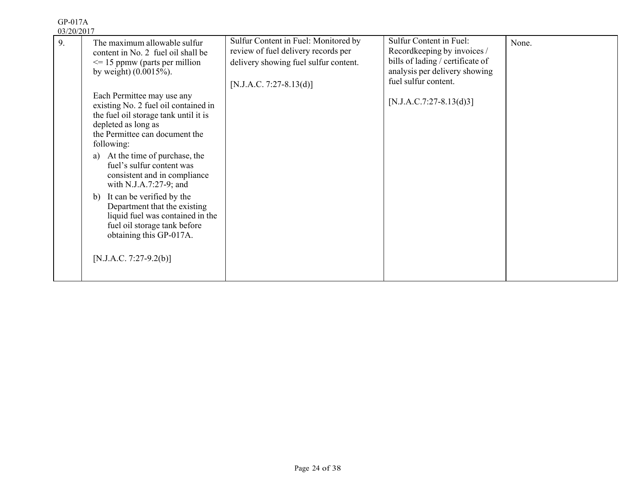| 0.01401401<br>9. | The maximum allowable sulfur<br>content in No. 2 fuel oil shall be<br>$\leq$ 15 ppmw (parts per million<br>by weight) $(0.0015\%)$ .                                                                                                                                                                                                                                                                                                                                                        | Sulfur Content in Fuel: Monitored by<br>review of fuel delivery records per<br>delivery showing fuel sulfur content. | Sulfur Content in Fuel:<br>Recordkeeping by invoices /<br>bills of lading / certificate of<br>analysis per delivery showing<br>fuel sulfur content. | None. |
|------------------|---------------------------------------------------------------------------------------------------------------------------------------------------------------------------------------------------------------------------------------------------------------------------------------------------------------------------------------------------------------------------------------------------------------------------------------------------------------------------------------------|----------------------------------------------------------------------------------------------------------------------|-----------------------------------------------------------------------------------------------------------------------------------------------------|-------|
|                  | Each Permittee may use any<br>existing No. 2 fuel oil contained in<br>the fuel oil storage tank until it is<br>depleted as long as<br>the Permittee can document the<br>following:<br>At the time of purchase, the<br>a)<br>fuel's sulfur content was<br>consistent and in compliance<br>with N.J.A.7:27-9; and<br>It can be verified by the<br>$\mathbf{b}$<br>Department that the existing<br>liquid fuel was contained in the<br>fuel oil storage tank before<br>obtaining this GP-017A. | $[N.J.A.C. 7:27-8.13(d)]$                                                                                            | $[N.J.A.C.7:27-8.13(d)3]$                                                                                                                           |       |
|                  | [N.J.A.C. 7:27-9.2(b)]                                                                                                                                                                                                                                                                                                                                                                                                                                                                      |                                                                                                                      |                                                                                                                                                     |       |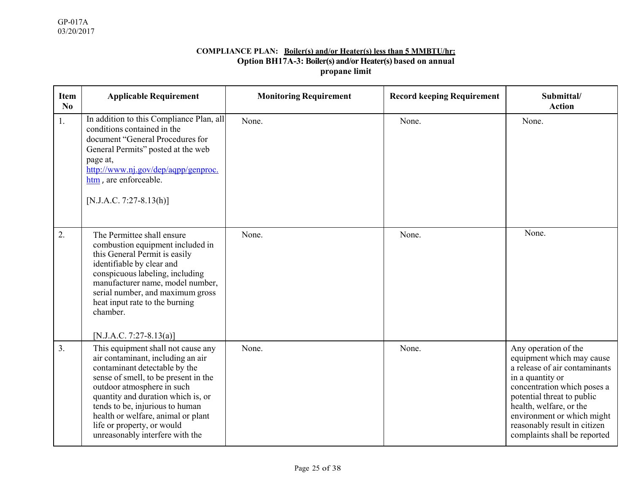#### **COMPLIANCE PLAN: Boiler(s) and/or Heater(s) less than 5 MMBTU/hr: Option BH17A-3: Boiler(s) and/or Heater(s) based on annual propane limit**

| <b>Item</b><br>No | <b>Applicable Requirement</b>                                                                                                                                                                                                                                                                                                                                  | <b>Monitoring Requirement</b> | <b>Record keeping Requirement</b> | Submittal/<br><b>Action</b>                                                                                                                                                                                                                                                                  |
|-------------------|----------------------------------------------------------------------------------------------------------------------------------------------------------------------------------------------------------------------------------------------------------------------------------------------------------------------------------------------------------------|-------------------------------|-----------------------------------|----------------------------------------------------------------------------------------------------------------------------------------------------------------------------------------------------------------------------------------------------------------------------------------------|
| 1.                | In addition to this Compliance Plan, all<br>conditions contained in the<br>document "General Procedures for<br>General Permits" posted at the web<br>page at,<br>http://www.nj.gov/dep/aqpp/genproc.<br>htm, are enforceable.<br>$[N.J.A.C. 7:27-8.13(h)]$                                                                                                     | None.                         | None.                             | None.                                                                                                                                                                                                                                                                                        |
| 2.                | The Permittee shall ensure<br>combustion equipment included in<br>this General Permit is easily<br>identifiable by clear and<br>conspicuous labeling, including<br>manufacturer name, model number,<br>serial number, and maximum gross<br>heat input rate to the burning<br>chamber.<br>[N.J.A.C. 7:27-8.13(a)]                                               | None.                         | None.                             | None.                                                                                                                                                                                                                                                                                        |
| 3.                | This equipment shall not cause any<br>air contaminant, including an air<br>contaminant detectable by the<br>sense of smell, to be present in the<br>outdoor atmosphere in such<br>quantity and duration which is, or<br>tends to be, injurious to human<br>health or welfare, animal or plant<br>life or property, or would<br>unreasonably interfere with the | None.                         | None.                             | Any operation of the<br>equipment which may cause<br>a release of air contaminants<br>in a quantity or<br>concentration which poses a<br>potential threat to public<br>health, welfare, or the<br>environment or which might<br>reasonably result in citizen<br>complaints shall be reported |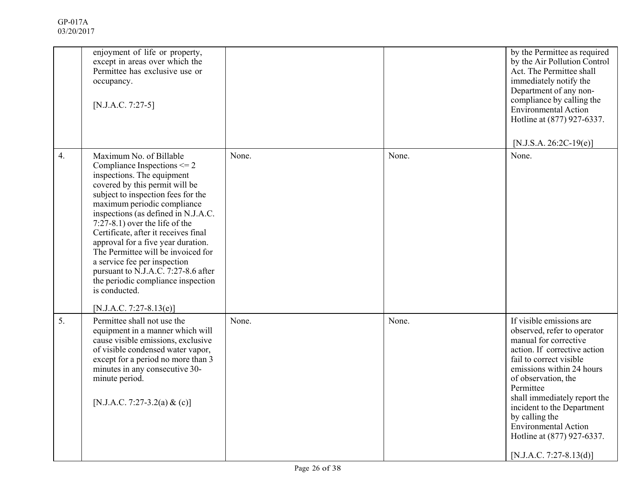|                  | enjoyment of life or property,<br>except in areas over which the<br>Permittee has exclusive use or<br>occupancy.<br>$[N.J.A.C. 7:27-5]$                                                                                                                                                                                                                                                                                                                                                                                                                  |       |       | by the Permittee as required<br>by the Air Pollution Control<br>Act. The Permittee shall<br>immediately notify the<br>Department of any non-<br>compliance by calling the<br><b>Environmental Action</b><br>Hotline at (877) 927-6337.<br>[N.J.S.A. 26:2C-19 $(e)$ ]                                                                                                                   |
|------------------|----------------------------------------------------------------------------------------------------------------------------------------------------------------------------------------------------------------------------------------------------------------------------------------------------------------------------------------------------------------------------------------------------------------------------------------------------------------------------------------------------------------------------------------------------------|-------|-------|----------------------------------------------------------------------------------------------------------------------------------------------------------------------------------------------------------------------------------------------------------------------------------------------------------------------------------------------------------------------------------------|
| $\overline{4}$ . | Maximum No. of Billable<br>Compliance Inspections $\leq$ 2<br>inspections. The equipment<br>covered by this permit will be<br>subject to inspection fees for the<br>maximum periodic compliance<br>inspections (as defined in N.J.A.C.<br>$7:27-8.1$ ) over the life of the<br>Certificate, after it receives final<br>approval for a five year duration.<br>The Permittee will be invoiced for<br>a service fee per inspection<br>pursuant to N.J.A.C. 7:27-8.6 after<br>the periodic compliance inspection<br>is conducted.<br>[N.J.A.C. 7:27-8.13(e)] | None. | None. | None.                                                                                                                                                                                                                                                                                                                                                                                  |
| 5.               | Permittee shall not use the<br>equipment in a manner which will<br>cause visible emissions, exclusive<br>of visible condensed water vapor,<br>except for a period no more than 3<br>minutes in any consecutive 30-<br>minute period.<br>[N.J.A.C. 7:27-3.2(a) & (c)]                                                                                                                                                                                                                                                                                     | None. | None. | If visible emissions are<br>observed, refer to operator<br>manual for corrective<br>action. If corrective action<br>fail to correct visible<br>emissions within 24 hours<br>of observation, the<br>Permittee<br>shall immediately report the<br>incident to the Department<br>by calling the<br><b>Environmental Action</b><br>Hotline at (877) 927-6337.<br>$[N.J.A.C. 7:27-8.13(d)]$ |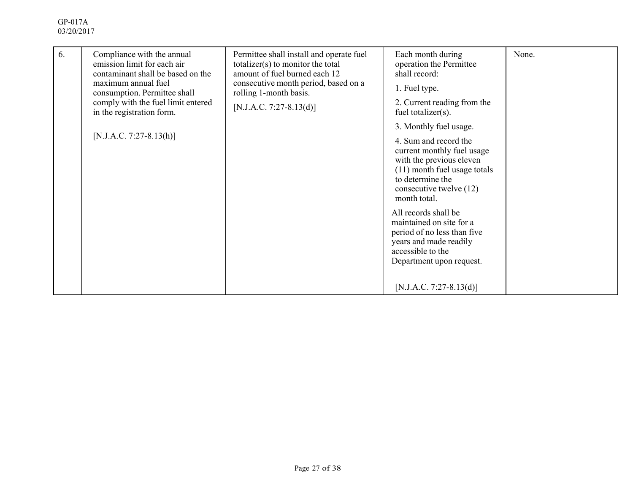| 6. | Compliance with the annual<br>emission limit for each air<br>contaminant shall be based on the<br>maximum annual fuel<br>consumption. Permittee shall<br>comply with the fuel limit entered<br>in the registration form.<br>$[N.J.A.C. 7:27-8.13(h)]$ | Permittee shall install and operate fuel<br>$totalizer(s)$ to monitor the total<br>amount of fuel burned each 12<br>consecutive month period, based on a<br>rolling 1-month basis.<br>[N.J.A.C. 7:27-8.13(d)] | Each month during<br>operation the Permittee<br>shall record:<br>1. Fuel type.<br>2. Current reading from the<br>fuel totalizer(s).<br>3. Monthly fuel usage.<br>4. Sum and record the<br>current monthly fuel usage<br>with the previous eleven<br>(11) month fuel usage totals<br>to determine the<br>consecutive twelve (12) | None. |
|----|-------------------------------------------------------------------------------------------------------------------------------------------------------------------------------------------------------------------------------------------------------|---------------------------------------------------------------------------------------------------------------------------------------------------------------------------------------------------------------|---------------------------------------------------------------------------------------------------------------------------------------------------------------------------------------------------------------------------------------------------------------------------------------------------------------------------------|-------|
|    |                                                                                                                                                                                                                                                       |                                                                                                                                                                                                               | month total.<br>All records shall be<br>maintained on site for a<br>period of no less than five<br>years and made readily<br>accessible to the<br>Department upon request.<br>$[N.J.A.C. 7:27-8.13(d)]$                                                                                                                         |       |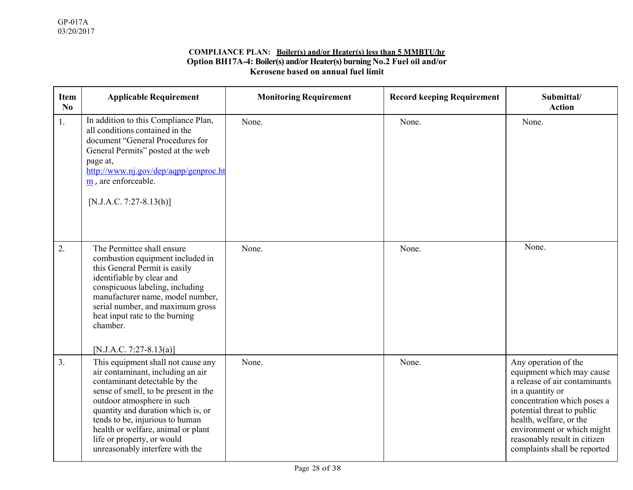#### **COMPLIANCE PLAN: Boiler(s) and/or Heater(s) less than 5 MMBTU/hr Option BH17A-4: Boiler(s) and/or Heater(s) burning No.2 Fuel oil and/or Kerosene based on annual fuel limit**

| <b>Item</b><br>No | <b>Applicable Requirement</b>                                                                                                                                                                                                                                                                                                                                  | <b>Monitoring Requirement</b> | <b>Record keeping Requirement</b> | Submittal/<br><b>Action</b>                                                                                                                                                                                                                                                                  |
|-------------------|----------------------------------------------------------------------------------------------------------------------------------------------------------------------------------------------------------------------------------------------------------------------------------------------------------------------------------------------------------------|-------------------------------|-----------------------------------|----------------------------------------------------------------------------------------------------------------------------------------------------------------------------------------------------------------------------------------------------------------------------------------------|
| 1.                | In addition to this Compliance Plan,<br>all conditions contained in the<br>document "General Procedures for<br>General Permits" posted at the web<br>page at,<br>http://www.nj.gov/dep/aqpp/genproc.ht<br>$\frac{m}{m}$ , are enforceable.<br>[N.J.A.C. 7:27-8.13(h)]                                                                                          | None.                         | None.                             | None.                                                                                                                                                                                                                                                                                        |
| 2.                | The Permittee shall ensure<br>combustion equipment included in<br>this General Permit is easily<br>identifiable by clear and<br>conspicuous labeling, including<br>manufacturer name, model number,<br>serial number, and maximum gross<br>heat input rate to the burning<br>chamber.<br>[N.J.A.C. 7:27-8.13(a)]                                               | None.                         | None.                             | None.                                                                                                                                                                                                                                                                                        |
| 3.                | This equipment shall not cause any<br>air contaminant, including an air<br>contaminant detectable by the<br>sense of smell, to be present in the<br>outdoor atmosphere in such<br>quantity and duration which is, or<br>tends to be, injurious to human<br>health or welfare, animal or plant<br>life or property, or would<br>unreasonably interfere with the | None.                         | None.                             | Any operation of the<br>equipment which may cause<br>a release of air contaminants<br>in a quantity or<br>concentration which poses a<br>potential threat to public<br>health, welfare, or the<br>environment or which might<br>reasonably result in citizen<br>complaints shall be reported |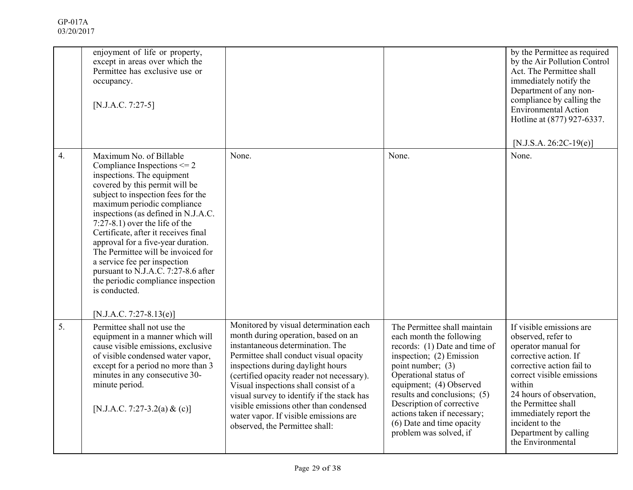| GP-017A    |
|------------|
| 03/20/2017 |

|                  | enjoyment of life or property,<br>except in areas over which the<br>Permittee has exclusive use or<br>occupancy.<br>$[N.J.A.C. 7:27-5]$                                                                                                                                                                                                                                                                                                                                                                                                                    |                                                                                                                                                                                                                                                                                                                                                                                                                                                           |                                                                                                                                                                                                                                                                                                                                                   | by the Permittee as required<br>by the Air Pollution Control<br>Act. The Permittee shall<br>immediately notify the<br>Department of any non-<br>compliance by calling the<br><b>Environmental Action</b><br>Hotline at (877) 927-6337.<br>$[N.J.S.A. 26:2C-19(e)]$                                               |
|------------------|------------------------------------------------------------------------------------------------------------------------------------------------------------------------------------------------------------------------------------------------------------------------------------------------------------------------------------------------------------------------------------------------------------------------------------------------------------------------------------------------------------------------------------------------------------|-----------------------------------------------------------------------------------------------------------------------------------------------------------------------------------------------------------------------------------------------------------------------------------------------------------------------------------------------------------------------------------------------------------------------------------------------------------|---------------------------------------------------------------------------------------------------------------------------------------------------------------------------------------------------------------------------------------------------------------------------------------------------------------------------------------------------|------------------------------------------------------------------------------------------------------------------------------------------------------------------------------------------------------------------------------------------------------------------------------------------------------------------|
| $\overline{4}$ . | Maximum No. of Billable<br>Compliance Inspections $\leq$ 2<br>inspections. The equipment<br>covered by this permit will be<br>subject to inspection fees for the<br>maximum periodic compliance<br>inspections (as defined in N.J.A.C.<br>$7:27-8.1$ ) over the life of the<br>Certificate, after it receives final<br>approval for a five-year duration.<br>The Permittee will be invoiced for<br>a service fee per inspection<br>pursuant to N.J.A.C. 7:27-8.6 after<br>the periodic compliance inspection<br>is conducted.<br>$[N.J.A.C. 7:27-8.13(e)]$ | None.                                                                                                                                                                                                                                                                                                                                                                                                                                                     | None.                                                                                                                                                                                                                                                                                                                                             | None.                                                                                                                                                                                                                                                                                                            |
| 5.               | Permittee shall not use the<br>equipment in a manner which will<br>cause visible emissions, exclusive<br>of visible condensed water vapor,<br>except for a period no more than 3<br>minutes in any consecutive 30-<br>minute period.<br>[N.J.A.C. 7:27-3.2(a) & (c)]                                                                                                                                                                                                                                                                                       | Monitored by visual determination each<br>month during operation, based on an<br>instantaneous determination. The<br>Permittee shall conduct visual opacity<br>inspections during daylight hours<br>(certified opacity reader not necessary).<br>Visual inspections shall consist of a<br>visual survey to identify if the stack has<br>visible emissions other than condensed<br>water vapor. If visible emissions are<br>observed, the Permittee shall: | The Permittee shall maintain<br>each month the following<br>records: (1) Date and time of<br>inspection; (2) Emission<br>point number; (3)<br>Operational status of<br>equipment; (4) Observed<br>results and conclusions; (5)<br>Description of corrective<br>actions taken if necessary;<br>(6) Date and time opacity<br>problem was solved, if | If visible emissions are<br>observed, refer to<br>operator manual for<br>corrective action. If<br>corrective action fail to<br>correct visible emissions<br>within<br>24 hours of observation,<br>the Permittee shall<br>immediately report the<br>incident to the<br>Department by calling<br>the Environmental |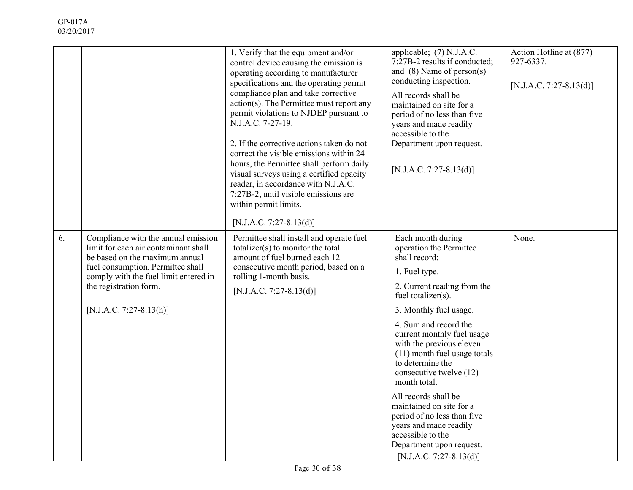|    |                                                                                                                                                                                                                                                    | 1. Verify that the equipment and/or<br>control device causing the emission is<br>operating according to manufacturer<br>specifications and the operating permit<br>compliance plan and take corrective<br>action(s). The Permittee must report any<br>permit violations to NJDEP pursuant to<br>N.J.A.C. 7-27-19.<br>2. If the corrective actions taken do not<br>correct the visible emissions within 24<br>hours, the Permittee shall perform daily<br>visual surveys using a certified opacity<br>reader, in accordance with N.J.A.C.<br>7:27B-2, until visible emissions are<br>within permit limits.<br>[N.J.A.C. 7:27-8.13(d)] | applicable; (7) N.J.A.C.<br>7:27B-2 results if conducted;<br>and $(8)$ Name of person $(s)$<br>conducting inspection.<br>All records shall be<br>maintained on site for a<br>period of no less than five<br>years and made readily<br>accessible to the<br>Department upon request.<br>[N.J.A.C. 7:27-8.13(d)]                                                                                                                                                                                                                           | Action Hotline at (877)<br>927-6337.<br>[N.J.A.C. 7:27-8.13(d)] |
|----|----------------------------------------------------------------------------------------------------------------------------------------------------------------------------------------------------------------------------------------------------|--------------------------------------------------------------------------------------------------------------------------------------------------------------------------------------------------------------------------------------------------------------------------------------------------------------------------------------------------------------------------------------------------------------------------------------------------------------------------------------------------------------------------------------------------------------------------------------------------------------------------------------|------------------------------------------------------------------------------------------------------------------------------------------------------------------------------------------------------------------------------------------------------------------------------------------------------------------------------------------------------------------------------------------------------------------------------------------------------------------------------------------------------------------------------------------|-----------------------------------------------------------------|
| 6. | Compliance with the annual emission<br>limit for each air contaminant shall<br>be based on the maximum annual<br>fuel consumption. Permittee shall<br>comply with the fuel limit entered in<br>the registration form.<br>$[N.J.A.C. 7:27-8.13(h)]$ | Permittee shall install and operate fuel<br>totalizer( $s$ ) to monitor the total<br>amount of fuel burned each 12<br>consecutive month period, based on a<br>rolling 1-month basis.<br>[N.J.A.C. 7:27-8.13(d)]                                                                                                                                                                                                                                                                                                                                                                                                                      | Each month during<br>operation the Permittee<br>shall record:<br>1. Fuel type.<br>2. Current reading from the<br>fuel totalizer(s).<br>3. Monthly fuel usage.<br>4. Sum and record the<br>current monthly fuel usage<br>with the previous eleven<br>(11) month fuel usage totals<br>to determine the<br>consecutive twelve (12)<br>month total.<br>All records shall be<br>maintained on site for a<br>period of no less than five<br>years and made readily<br>accessible to the<br>Department upon request.<br>[N.J.A.C. 7:27-8.13(d)] | None.                                                           |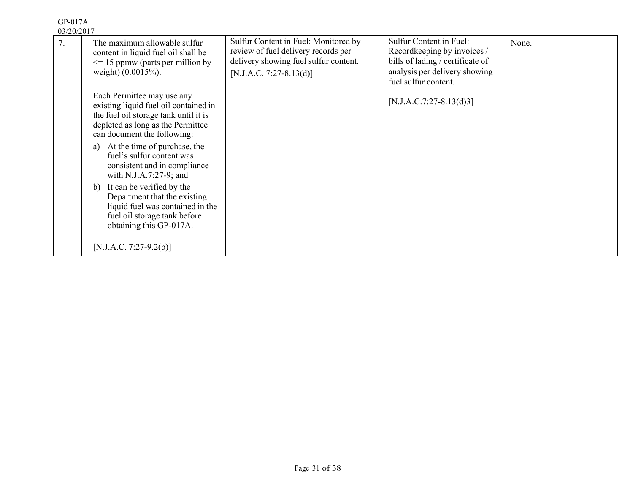| 7. | The maximum allowable sulfur<br>content in liquid fuel oil shall be<br>$\leq$ 15 ppmw (parts per million by<br>weight) (0.0015%).                                                                                                                                                                                                                                                                                                                                               | Sulfur Content in Fuel: Monitored by<br>review of fuel delivery records per<br>delivery showing fuel sulfur content.<br>$[N.J.A.C. 7:27-8.13(d)]$ | Sulfur Content in Fuel:<br>Recordkeeping by invoices /<br>bills of lading / certificate of<br>analysis per delivery showing<br>fuel sulfur content. | None. |
|----|---------------------------------------------------------------------------------------------------------------------------------------------------------------------------------------------------------------------------------------------------------------------------------------------------------------------------------------------------------------------------------------------------------------------------------------------------------------------------------|---------------------------------------------------------------------------------------------------------------------------------------------------|-----------------------------------------------------------------------------------------------------------------------------------------------------|-------|
|    | Each Permittee may use any<br>existing liquid fuel oil contained in<br>the fuel oil storage tank until it is<br>depleted as long as the Permittee<br>can document the following:<br>At the time of purchase, the<br>a)<br>fuel's sulfur content was<br>consistent and in compliance<br>with N.J.A.7:27-9; and<br>It can be verified by the<br>b)<br>Department that the existing<br>liquid fuel was contained in the<br>fuel oil storage tank before<br>obtaining this GP-017A. |                                                                                                                                                   | $[N.J.A.C.7:27-8.13(d)3]$                                                                                                                           |       |
|    | [N.J.A.C. 7:27-9.2(b)]                                                                                                                                                                                                                                                                                                                                                                                                                                                          |                                                                                                                                                   |                                                                                                                                                     |       |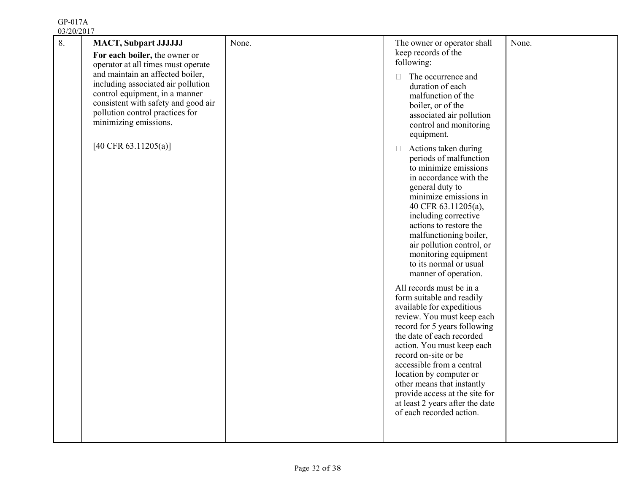| 8. | <b>MACT, Subpart JJJJJJJ</b>                                           | None. | The owner or operator shall                                 | None. |
|----|------------------------------------------------------------------------|-------|-------------------------------------------------------------|-------|
|    | For each boiler, the owner or                                          |       | keep records of the<br>following:                           |       |
|    | operator at all times must operate<br>and maintain an affected boiler, |       |                                                             |       |
|    | including associated air pollution                                     |       | The occurrence and<br>$\Box$<br>duration of each            |       |
|    | control equipment, in a manner                                         |       | malfunction of the                                          |       |
|    | consistent with safety and good air                                    |       | boiler, or of the                                           |       |
|    | pollution control practices for                                        |       | associated air pollution                                    |       |
|    | minimizing emissions.                                                  |       | control and monitoring                                      |       |
|    |                                                                        |       | equipment.                                                  |       |
|    | [40 CFR 63.11205(a)]                                                   |       | Actions taken during<br>$\Box$                              |       |
|    |                                                                        |       | periods of malfunction<br>to minimize emissions             |       |
|    |                                                                        |       | in accordance with the                                      |       |
|    |                                                                        |       | general duty to                                             |       |
|    |                                                                        |       | minimize emissions in                                       |       |
|    |                                                                        |       | 40 CFR 63.11205(a),<br>including corrective                 |       |
|    |                                                                        |       | actions to restore the                                      |       |
|    |                                                                        |       | malfunctioning boiler,                                      |       |
|    |                                                                        |       | air pollution control, or                                   |       |
|    |                                                                        |       | monitoring equipment<br>to its normal or usual              |       |
|    |                                                                        |       | manner of operation.                                        |       |
|    |                                                                        |       | All records must be in a                                    |       |
|    |                                                                        |       | form suitable and readily                                   |       |
|    |                                                                        |       | available for expeditious<br>review. You must keep each     |       |
|    |                                                                        |       | record for 5 years following                                |       |
|    |                                                                        |       | the date of each recorded                                   |       |
|    |                                                                        |       | action. You must keep each                                  |       |
|    |                                                                        |       | record on-site or be<br>accessible from a central           |       |
|    |                                                                        |       | location by computer or                                     |       |
|    |                                                                        |       | other means that instantly                                  |       |
|    |                                                                        |       | provide access at the site for                              |       |
|    |                                                                        |       | at least 2 years after the date<br>of each recorded action. |       |
|    |                                                                        |       |                                                             |       |
|    |                                                                        |       |                                                             |       |
|    |                                                                        |       |                                                             |       |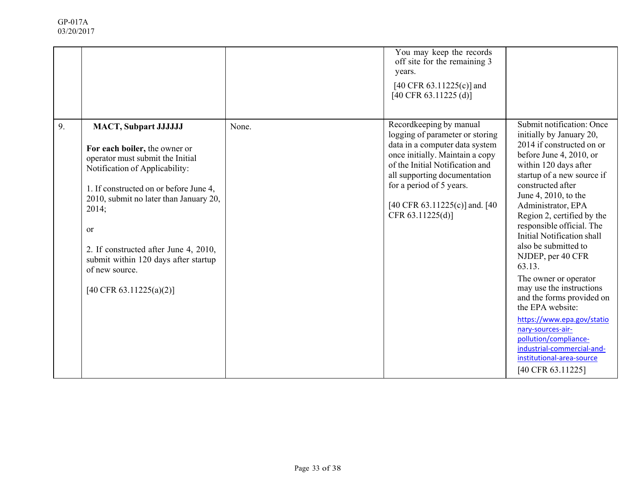|    |                                                                                                                                                                                                                                                                                                                                                                                 |       | You may keep the records<br>off site for the remaining 3<br>years.<br>[40 CFR $63.11225(c)$ ] and<br>$[40 \text{ CFR } 63.11225 \text{ (d)}]$                                                                                                                                        |                                                                                                                                                                                                                                                                                                                                                                                                                                                                                                                                                                                                                                                           |
|----|---------------------------------------------------------------------------------------------------------------------------------------------------------------------------------------------------------------------------------------------------------------------------------------------------------------------------------------------------------------------------------|-------|--------------------------------------------------------------------------------------------------------------------------------------------------------------------------------------------------------------------------------------------------------------------------------------|-----------------------------------------------------------------------------------------------------------------------------------------------------------------------------------------------------------------------------------------------------------------------------------------------------------------------------------------------------------------------------------------------------------------------------------------------------------------------------------------------------------------------------------------------------------------------------------------------------------------------------------------------------------|
| 9. | <b>MACT, Subpart JJJJJJJ</b><br>For each boiler, the owner or<br>operator must submit the Initial<br>Notification of Applicability:<br>1. If constructed on or before June 4,<br>2010, submit no later than January 20,<br>2014;<br><sub>or</sub><br>2. If constructed after June 4, 2010,<br>submit within 120 days after startup<br>of new source.<br>[40 CFR 63.11225(a)(2)] | None. | Recordkeeping by manual<br>logging of parameter or storing<br>data in a computer data system<br>once initially. Maintain a copy<br>of the Initial Notification and<br>all supporting documentation<br>for a period of 5 years.<br>[40 CFR 63.11225(c)] and. [40]<br>CFR 63.11225(d)] | Submit notification: Once<br>initially by January 20,<br>2014 if constructed on or<br>before June 4, 2010, or<br>within 120 days after<br>startup of a new source if<br>constructed after<br>June 4, 2010, to the<br>Administrator, EPA<br>Region 2, certified by the<br>responsible official. The<br>Initial Notification shall<br>also be submitted to<br>NJDEP, per 40 CFR<br>63.13.<br>The owner or operator<br>may use the instructions<br>and the forms provided on<br>the EPA website:<br>https://www.epa.gov/statio<br>nary-sources-air-<br>pollution/compliance-<br>industrial-commercial-and-<br>institutional-area-source<br>[40 CFR 63.11225] |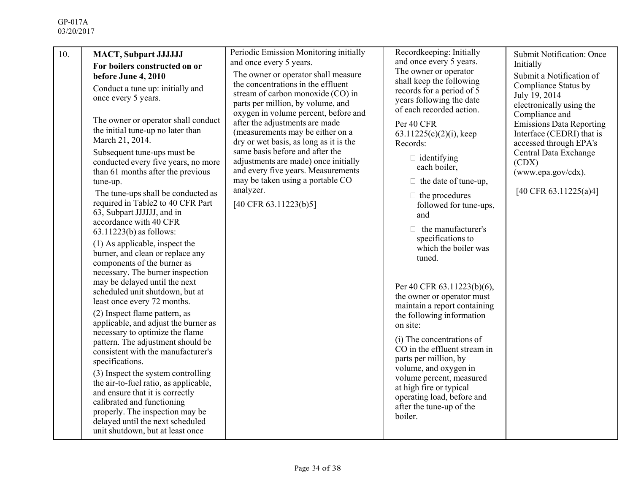| 10. | <b>MACT, Subpart JJJJJJJ</b><br>For boilers constructed on or<br>before June 4, 2010<br>Conduct a tune up: initially and<br>once every 5 years.<br>The owner or operator shall conduct<br>the initial tune-up no later than<br>March 21, 2014.<br>Subsequent tune-ups must be<br>conducted every five years, no more<br>than 61 months after the previous<br>tune-up.<br>The tune-ups shall be conducted as<br>required in Table2 to 40 CFR Part<br>63, Subpart JJJJJJ, and in<br>accordance with 40 CFR<br>$63.11223(b)$ as follows:<br>(1) As applicable, inspect the<br>burner, and clean or replace any<br>components of the burner as<br>necessary. The burner inspection<br>may be delayed until the next<br>scheduled unit shutdown, but at<br>least once every 72 months.<br>(2) Inspect flame pattern, as<br>applicable, and adjust the burner as<br>necessary to optimize the flame<br>pattern. The adjustment should be<br>consistent with the manufacturer's<br>specifications.<br>(3) Inspect the system controlling<br>the air-to-fuel ratio, as applicable,<br>and ensure that it is correctly<br>calibrated and functioning<br>properly. The inspection may be<br>delayed until the next scheduled<br>unit shutdown, but at least once | Periodic Emission Monitoring initially<br>and once every 5 years.<br>The owner or operator shall measure<br>the concentrations in the effluent<br>stream of carbon monoxide (CO) in<br>parts per million, by volume, and<br>oxygen in volume percent, before and<br>after the adjustments are made<br>(measurements may be either on a<br>dry or wet basis, as long as it is the<br>same basis before and after the<br>adjustments are made) once initially<br>and every five years. Measurements<br>may be taken using a portable CO<br>analyzer.<br>[40 CFR 63.11223(b)5] | Recordkeeping: Initially<br>and once every 5 years.<br>The owner or operator<br>shall keep the following<br>records for a period of 5<br>years following the date<br>of each recorded action.<br>Per 40 CFR<br>$63.11225(c)(2)(i)$ , keep<br>Records:<br>$\Box$ identifying<br>each boiler,<br>$\Box$ the date of tune-up,<br>$\Box$ the procedures<br>followed for tune-ups,<br>and<br>$\Box$ the manufacturer's<br>specifications to<br>which the boiler was<br>tuned.<br>Per 40 CFR 63.11223(b)(6),<br>the owner or operator must<br>maintain a report containing<br>the following information<br>on site:<br>(i) The concentrations of<br>CO in the effluent stream in<br>parts per million, by<br>volume, and oxygen in<br>volume percent, measured<br>at high fire or typical<br>operating load, before and<br>after the tune-up of the<br>boiler. | <b>Submit Notification: Once</b><br>Initially<br>Submit a Notification of<br>Compliance Status by<br>July 19, 2014<br>electronically using the<br>Compliance and<br><b>Emissions Data Reporting</b><br>Interface (CEDRI) that is<br>accessed through EPA's<br>Central Data Exchange<br>(CDX)<br>(www.epa.gov/cdx).<br>[40 CFR 63.11225(a)4] |
|-----|--------------------------------------------------------------------------------------------------------------------------------------------------------------------------------------------------------------------------------------------------------------------------------------------------------------------------------------------------------------------------------------------------------------------------------------------------------------------------------------------------------------------------------------------------------------------------------------------------------------------------------------------------------------------------------------------------------------------------------------------------------------------------------------------------------------------------------------------------------------------------------------------------------------------------------------------------------------------------------------------------------------------------------------------------------------------------------------------------------------------------------------------------------------------------------------------------------------------------------------------------------|-----------------------------------------------------------------------------------------------------------------------------------------------------------------------------------------------------------------------------------------------------------------------------------------------------------------------------------------------------------------------------------------------------------------------------------------------------------------------------------------------------------------------------------------------------------------------------|----------------------------------------------------------------------------------------------------------------------------------------------------------------------------------------------------------------------------------------------------------------------------------------------------------------------------------------------------------------------------------------------------------------------------------------------------------------------------------------------------------------------------------------------------------------------------------------------------------------------------------------------------------------------------------------------------------------------------------------------------------------------------------------------------------------------------------------------------------|---------------------------------------------------------------------------------------------------------------------------------------------------------------------------------------------------------------------------------------------------------------------------------------------------------------------------------------------|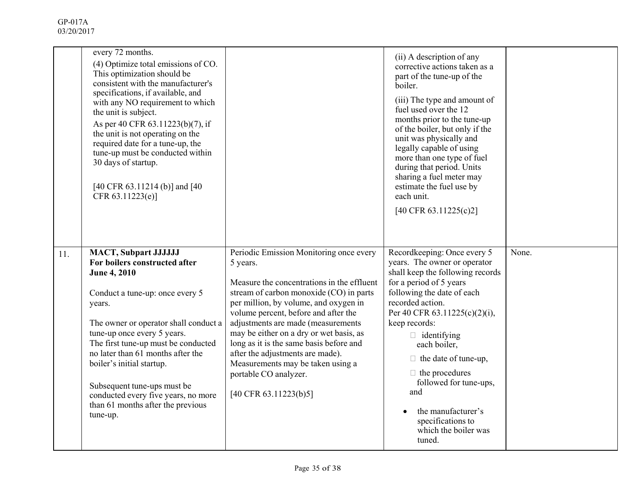|     | every 72 months.<br>(4) Optimize total emissions of CO.<br>This optimization should be<br>consistent with the manufacturer's<br>specifications, if available, and<br>with any NO requirement to which<br>the unit is subject.<br>As per 40 CFR 63.11223(b)(7), if<br>the unit is not operating on the<br>required date for a tune-up, the<br>tune-up must be conducted within<br>30 days of startup.<br>[40 CFR 63.11214 (b)] and [40<br>CFR 63.11223(e)] |                                                                                                                                                                                                                                                                                                                                                                                                                                                                                      | (ii) A description of any<br>corrective actions taken as a<br>part of the tune-up of the<br>boiler.<br>(iii) The type and amount of<br>fuel used over the 12<br>months prior to the tune-up<br>of the boiler, but only if the<br>unit was physically and<br>legally capable of using<br>more than one type of fuel<br>during that period. Units<br>sharing a fuel meter may<br>estimate the fuel use by<br>each unit.<br>$[40 \text{ CFR } 63.11225(c)2]$ |       |
|-----|-----------------------------------------------------------------------------------------------------------------------------------------------------------------------------------------------------------------------------------------------------------------------------------------------------------------------------------------------------------------------------------------------------------------------------------------------------------|--------------------------------------------------------------------------------------------------------------------------------------------------------------------------------------------------------------------------------------------------------------------------------------------------------------------------------------------------------------------------------------------------------------------------------------------------------------------------------------|-----------------------------------------------------------------------------------------------------------------------------------------------------------------------------------------------------------------------------------------------------------------------------------------------------------------------------------------------------------------------------------------------------------------------------------------------------------|-------|
| 11. | <b>MACT, Subpart JJJJJJJ</b><br>For boilers constructed after<br><b>June 4, 2010</b><br>Conduct a tune-up: once every 5<br>years.<br>The owner or operator shall conduct a<br>tune-up once every 5 years.<br>The first tune-up must be conducted<br>no later than 61 months after the<br>boiler's initial startup.<br>Subsequent tune-ups must be<br>conducted every five years, no more<br>than 61 months after the previous<br>tune-up.                 | Periodic Emission Monitoring once every<br>5 years.<br>Measure the concentrations in the effluent<br>stream of carbon monoxide (CO) in parts<br>per million, by volume, and oxygen in<br>volume percent, before and after the<br>adjustments are made (measurements<br>may be either on a dry or wet basis, as<br>long as it is the same basis before and<br>after the adjustments are made).<br>Measurements may be taken using a<br>portable CO analyzer.<br>[40 CFR 63.11223(b)5] | Recordkeeping: Once every 5<br>years. The owner or operator<br>shall keep the following records<br>for a period of 5 years<br>following the date of each<br>recorded action.<br>Per 40 CFR 63.11225(c)(2)(i),<br>keep records:<br>$\Box$ identifying<br>each boiler,<br>$\Box$ the date of tune-up,<br>$\Box$ the procedures<br>followed for tune-ups,<br>and<br>the manufacturer's<br>$\bullet$<br>specifications to<br>which the boiler was<br>tuned.   | None. |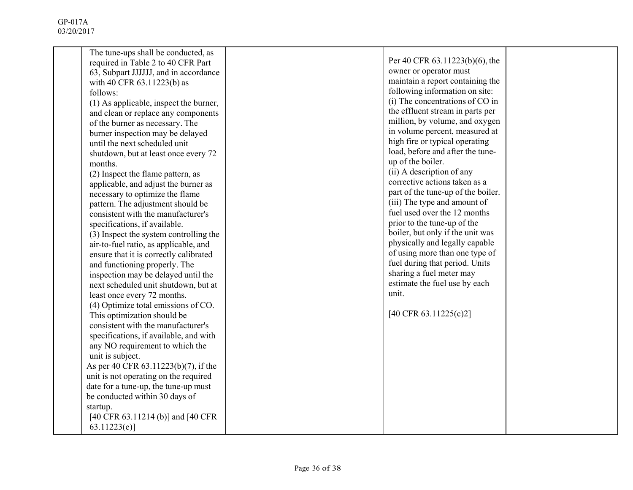| The tune-ups shall be conducted, as    |                                    |  |
|----------------------------------------|------------------------------------|--|
| required in Table 2 to 40 CFR Part     | Per 40 CFR 63.11223(b)(6), the     |  |
| 63, Subpart JJJJJJ, and in accordance  | owner or operator must             |  |
| with 40 CFR 63.11223(b) as             | maintain a report containing the   |  |
| follows:                               | following information on site:     |  |
| (1) As applicable, inspect the burner, | (i) The concentrations of CO in    |  |
| and clean or replace any components    | the effluent stream in parts per   |  |
| of the burner as necessary. The        | million, by volume, and oxygen     |  |
| burner inspection may be delayed       | in volume percent, measured at     |  |
| until the next scheduled unit          | high fire or typical operating     |  |
| shutdown, but at least once every 72   | load, before and after the tune-   |  |
| months.                                | up of the boiler.                  |  |
| (2) Inspect the flame pattern, as      | (ii) A description of any          |  |
| applicable, and adjust the burner as   | corrective actions taken as a      |  |
| necessary to optimize the flame        | part of the tune-up of the boiler. |  |
| pattern. The adjustment should be      | (iii) The type and amount of       |  |
| consistent with the manufacturer's     | fuel used over the 12 months       |  |
|                                        | prior to the tune-up of the        |  |
| specifications, if available.          | boiler, but only if the unit was   |  |
| (3) Inspect the system controlling the | physically and legally capable     |  |
| air-to-fuel ratio, as applicable, and  | of using more than one type of     |  |
| ensure that it is correctly calibrated | fuel during that period. Units     |  |
| and functioning properly. The          | sharing a fuel meter may           |  |
| inspection may be delayed until the    | estimate the fuel use by each      |  |
| next scheduled unit shutdown, but at   |                                    |  |
| least once every 72 months.            | unit.                              |  |
| (4) Optimize total emissions of CO.    |                                    |  |
| This optimization should be            | [40 CFR 63.11225(c)2]              |  |
| consistent with the manufacturer's     |                                    |  |
| specifications, if available, and with |                                    |  |
| any NO requirement to which the        |                                    |  |
| unit is subject.                       |                                    |  |
| As per 40 CFR 63.11223(b)(7), if the   |                                    |  |
| unit is not operating on the required  |                                    |  |
| date for a tune-up, the tune-up must   |                                    |  |
| be conducted within 30 days of         |                                    |  |
| startup.                               |                                    |  |
| [40 CFR 63.11214 (b)] and [40 CFR      |                                    |  |
| 63.11223(e)                            |                                    |  |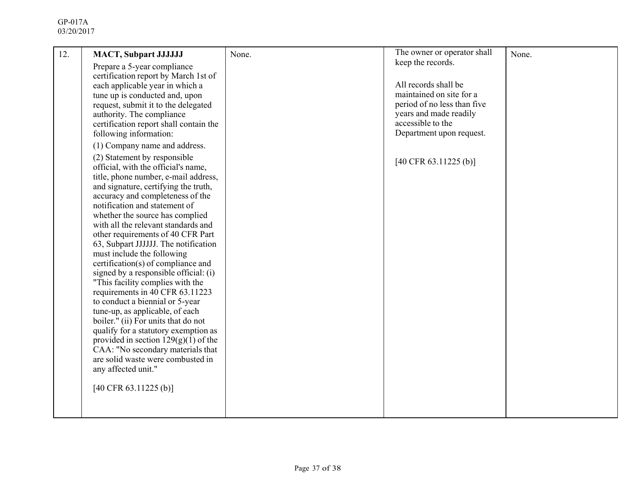| 12. | <b>MACT, Subpart JJJJJJJ</b><br>Prepare a 5-year compliance<br>certification report by March 1st of<br>each applicable year in which a<br>tune up is conducted and, upon<br>request, submit it to the delegated<br>authority. The compliance<br>certification report shall contain the<br>following information:<br>(1) Company name and address.<br>(2) Statement by responsible<br>official, with the official's name,<br>title, phone number, e-mail address,<br>and signature, certifying the truth,<br>accuracy and completeness of the<br>notification and statement of<br>whether the source has complied                                 | None. | The owner or operator shall<br>keep the records.<br>All records shall be<br>maintained on site for a<br>period of no less than five<br>years and made readily<br>accessible to the<br>Department upon request.<br>$[40 \text{ CFR } 63.11225 \text{ (b)}]$ | None. |
|-----|--------------------------------------------------------------------------------------------------------------------------------------------------------------------------------------------------------------------------------------------------------------------------------------------------------------------------------------------------------------------------------------------------------------------------------------------------------------------------------------------------------------------------------------------------------------------------------------------------------------------------------------------------|-------|------------------------------------------------------------------------------------------------------------------------------------------------------------------------------------------------------------------------------------------------------------|-------|
|     | with all the relevant standards and<br>other requirements of 40 CFR Part<br>63, Subpart JJJJJJ. The notification<br>must include the following<br>certification(s) of compliance and<br>signed by a responsible official: (i)<br>"This facility complies with the<br>requirements in 40 CFR 63.11223<br>to conduct a biennial or 5-year<br>tune-up, as applicable, of each<br>boiler." (ii) For units that do not<br>qualify for a statutory exemption as<br>provided in section $129(g)(1)$ of the<br>CAA: "No secondary materials that<br>are solid waste were combusted in<br>any affected unit."<br>$[40 \text{ CFR } 63.11225 \text{ (b)}]$ |       |                                                                                                                                                                                                                                                            |       |